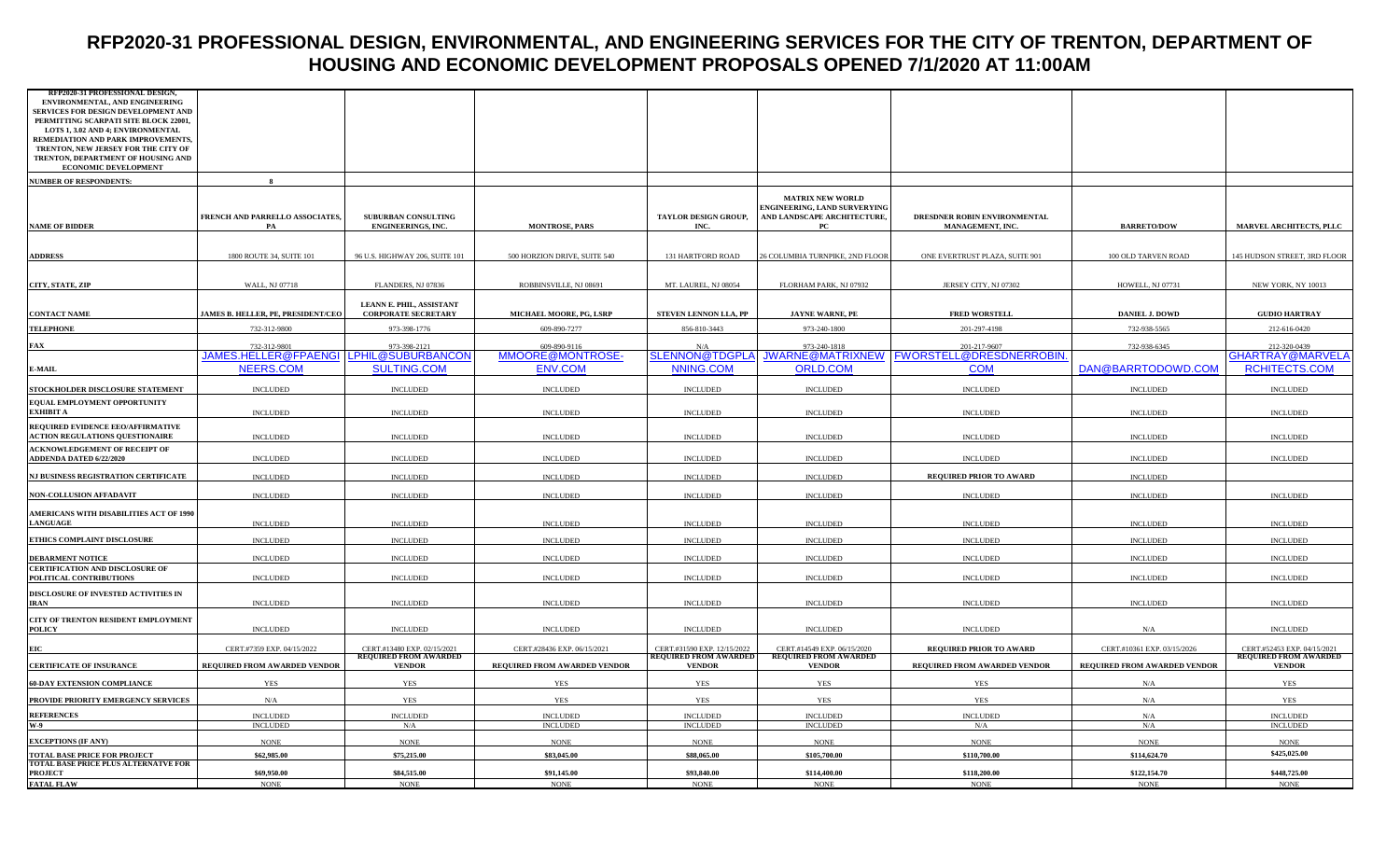## **RFP2020-31 PROFESSIONAL DESIGN, ENVIRONMENTAL, AND ENGINEERING SERVICES FOR THE CITY OF TRENTON, DEPARTMENT OF HOUSING AND ECONOMIC DEVELOPMENT PROPOSALS OPENED 7/1/2020 AT 11:00AM**

| RFP2020-31 PROFESSIONAL DESIGN,                                                   |                                                        |                                                             |                                  |                                                             |                                                             |                                                             |                              |                                                             |
|-----------------------------------------------------------------------------------|--------------------------------------------------------|-------------------------------------------------------------|----------------------------------|-------------------------------------------------------------|-------------------------------------------------------------|-------------------------------------------------------------|------------------------------|-------------------------------------------------------------|
| ENVIRONMENTAL, AND ENGINEERING                                                    |                                                        |                                                             |                                  |                                                             |                                                             |                                                             |                              |                                                             |
| SERVICES FOR DESIGN DEVELOPMENT AND                                               |                                                        |                                                             |                                  |                                                             |                                                             |                                                             |                              |                                                             |
| PERMITTING SCARPATI SITE BLOCK 22001,<br><b>LOTS 1, 3.02 AND 4; ENVIRONMENTAL</b> |                                                        |                                                             |                                  |                                                             |                                                             |                                                             |                              |                                                             |
| REMEDIATION AND PARK IMPROVEMENTS,                                                |                                                        |                                                             |                                  |                                                             |                                                             |                                                             |                              |                                                             |
| TRENTON, NEW JERSEY FOR THE CITY OF                                               |                                                        |                                                             |                                  |                                                             |                                                             |                                                             |                              |                                                             |
| TRENTON, DEPARTMENT OF HOUSING AND                                                |                                                        |                                                             |                                  |                                                             |                                                             |                                                             |                              |                                                             |
| ECONOMIC DEVELOPMENT                                                              |                                                        |                                                             |                                  |                                                             |                                                             |                                                             |                              |                                                             |
| <b>NUMBER OF RESPONDENTS:</b>                                                     |                                                        |                                                             |                                  |                                                             |                                                             |                                                             |                              |                                                             |
|                                                                                   |                                                        |                                                             |                                  |                                                             | <b>MATRIX NEW WORLD</b>                                     |                                                             |                              |                                                             |
|                                                                                   |                                                        |                                                             |                                  |                                                             | ENGINEERING, LAND SURVERYING                                |                                                             |                              |                                                             |
|                                                                                   | FRENCH AND PARRELLO ASSOCIATES,                        | SUBURBAN CONSULTING                                         |                                  | TAYLOR DESIGN GROUP,                                        | AND LANDSCAPE ARCHITECTURE,                                 | DRESDNER ROBIN ENVIRONMENTAL                                |                              |                                                             |
| <b>NAME OF BIDDER</b>                                                             | PA                                                     | <b>ENGINEERINGS, INC.</b>                                   | MONTROSE, PARS                   | INC.                                                        | PС                                                          | MANAGEMENT, INC.                                            | <b>BARRETO/DOW</b>           | MARVEL ARCHITECTS, PLLC                                     |
|                                                                                   |                                                        |                                                             |                                  |                                                             |                                                             |                                                             |                              |                                                             |
| <b>ADDRESS</b>                                                                    | 1800 ROUTE 34, SUITE 101                               | 96 U.S. HIGHWAY 206, SUITE 101                              | 500 HORZION DRIVE, SUITE 540     | 131 HARTFORD ROAD                                           | 26 COLUMBIA TURNPIKE, 2ND FLOOR                             | ONE EVERTRUST PLAZA, SUITE 901                              | 100 OLD TARVEN ROAD          | 145 HUDSON STREET, 3RD FLOOR                                |
|                                                                                   |                                                        |                                                             |                                  |                                                             |                                                             |                                                             |                              |                                                             |
|                                                                                   |                                                        |                                                             |                                  |                                                             |                                                             |                                                             |                              |                                                             |
| CITY, STATE, ZIP                                                                  | WALL, NJ 07718                                         | FLANDERS, NJ 07836                                          | ROBBINSVILLE, NJ 08691           | MT. LAUREL, NJ 08054                                        | FLORHAM PARK, NJ 07932                                      | JERSEY CITY, NJ 07302                                       | HOWELL, NJ 07731             | NEW YORK, NY 10013                                          |
|                                                                                   |                                                        | LEANN E. PHIL, ASSISTANT                                    |                                  |                                                             |                                                             |                                                             |                              |                                                             |
| <b>CONTACT NAME</b>                                                               | JAMES B. HELLER, PE, PRESIDENT/CEO                     | <b>CORPORATE SECRETARY</b>                                  | MICHAEL MOORE, PG, LSRP          | STEVEN LENNON LLA, PP                                       | JAYNE WARNE, PE                                             | <b>FRED WORSTELL</b>                                        | <b>DANIEL J. DOWD</b>        | <b>GUDIO HARTRAY</b>                                        |
| <b>TELEPHONE</b>                                                                  | 732-312-9800                                           | 973-398-1776                                                | 609-890-7277                     | 856-810-3443                                                | 973-240-1800                                                | 201-297-4198                                                | 732-938-5565                 | 212-616-0420                                                |
|                                                                                   |                                                        |                                                             |                                  |                                                             |                                                             |                                                             |                              |                                                             |
| FAX                                                                               | 732-312-9801<br>JAMES.HELLER@FPAENGI LPHIL@SUBURBANCON | 973-398-2121                                                | 609-890-9116<br>MMOORE@MONTROSE- | SLENNON@TDGPLA                                              | 973-240-1818                                                | 201-217-9607<br>JWARNE@MATRIXNEW   FWORSTELL@DRESDNERROBIN. | 732-938-6345                 | 212-320-0439<br>GHARTRAY@MARVELA                            |
|                                                                                   | <b>NEERS.COM</b>                                       | <b>SULTING.COM</b>                                          | <b>ENV.COM</b>                   | NNING.COM                                                   | <b>ORLD.COM</b>                                             | <b>COM</b>                                                  | DAN@BARRTODOWD.COM           | RCHITECTS.COM                                               |
| E-MAIL                                                                            |                                                        |                                                             |                                  |                                                             |                                                             |                                                             |                              |                                                             |
| STOCKHOLDER DISCLOSURE STATEMENT                                                  | <b>INCLUDED</b>                                        | <b>INCLUDED</b>                                             | <b>INCLUDED</b>                  | <b>INCLUDED</b>                                             | <b>INCLUDED</b>                                             | <b>INCLUDED</b>                                             | <b>INCLUDED</b>              | <b>INCLUDED</b>                                             |
| <b>EQUAL EMPLOYMENT OPPORTUNITY</b>                                               |                                                        |                                                             |                                  |                                                             |                                                             |                                                             |                              |                                                             |
| EXHIBIT A                                                                         | <b>INCLUDED</b>                                        | <b>INCLUDED</b>                                             | <b>INCLUDED</b>                  | <b>INCLUDED</b>                                             | <b>INCLUDED</b>                                             | <b>INCLUDED</b>                                             | <b>INCLUDED</b>              | <b>INCLUDED</b>                                             |
| REQUIRED EVIDENCE EEO/AFFIRMATIVE                                                 |                                                        |                                                             |                                  |                                                             |                                                             |                                                             |                              |                                                             |
| <b>ACTION REGULATIONS QUESTIONAIRE</b>                                            | <b>INCLUDED</b>                                        | <b>INCLUDED</b>                                             | <b>INCLUDED</b>                  | <b>INCLUDED</b>                                             | <b>INCLUDED</b>                                             | <b>INCLUDED</b>                                             | <b>INCLUDED</b>              | <b>INCLUDED</b>                                             |
| ACKNOWLEDGEMENT OF RECEIPT OF                                                     |                                                        |                                                             |                                  |                                                             |                                                             |                                                             |                              |                                                             |
| ADDENDA DATED 6/22/2020                                                           | <b>INCLUDED</b>                                        | <b>INCLUDED</b>                                             | <b>INCLUDED</b>                  | <b>INCLUDED</b>                                             | <b>INCLUDED</b>                                             | $\sf INCLUDED$                                              | <b>INCLUDED</b>              | <b>INCLUDED</b>                                             |
| NJ BUSINESS REGISTRATION CERTIFICATE                                              | <b>INCLUDED</b>                                        | <b>INCLUDED</b>                                             | <b>INCLUDED</b>                  | <b>INCLUDED</b>                                             | <b>INCLUDED</b>                                             | <b>REQUIRED PRIOR TO AWARD</b>                              | <b>INCLUDED</b>              |                                                             |
|                                                                                   |                                                        |                                                             |                                  |                                                             |                                                             |                                                             |                              |                                                             |
| <b>NON-COLLUSION AFFADAVIT</b>                                                    | <b>INCLUDED</b>                                        | <b>INCLUDED</b>                                             | <b>INCLUDED</b>                  | <b>INCLUDED</b>                                             | <b>INCLUDED</b>                                             | <b>INCLUDED</b>                                             | <b>INCLUDED</b>              | <b>INCLUDED</b>                                             |
|                                                                                   |                                                        |                                                             |                                  |                                                             |                                                             |                                                             |                              |                                                             |
| AMERICANS WITH DISABILITIES ACT OF 1990<br><b>LANGUAGE</b>                        | <b>INCLUDED</b>                                        | <b>INCLUDED</b>                                             | <b>INCLUDED</b>                  | <b>INCLUDED</b>                                             | <b>INCLUDED</b>                                             | <b>INCLUDED</b>                                             | <b>INCLUDED</b>              | <b>INCLUDED</b>                                             |
|                                                                                   |                                                        |                                                             |                                  |                                                             |                                                             |                                                             |                              |                                                             |
| ETHICS COMPLAINT DISCLOSURE                                                       | <b>INCLUDED</b>                                        | <b>INCLUDED</b>                                             | <b>INCLUDED</b>                  | <b>INCLUDED</b>                                             | <b>INCLUDED</b>                                             | <b>INCLUDED</b>                                             | <b>INCLUDED</b>              | <b>INCLUDED</b>                                             |
| <b>DEBARMENT NOTICE</b>                                                           | <b>INCLUDED</b>                                        | <b>INCLUDED</b>                                             | <b>INCLUDED</b>                  | <b>INCLUDED</b>                                             | <b>INCLUDED</b>                                             | <b>INCLUDED</b>                                             | <b>INCLUDED</b>              | <b>INCLUDED</b>                                             |
| <b>CERTIFICATION AND DISCLOSURE OF</b>                                            |                                                        |                                                             |                                  |                                                             |                                                             |                                                             |                              |                                                             |
| POLITICAL CONTRIBUTIONS                                                           | <b>INCLUDED</b>                                        | <b>INCLUDED</b>                                             | <b>INCLUDED</b>                  | <b>INCLUDED</b>                                             | <b>INCLUDED</b>                                             | <b>INCLUDED</b>                                             | <b>INCLUDED</b>              | <b>INCLUDED</b>                                             |
| DISCLOSURE OF INVESTED ACTIVITIES IN                                              |                                                        |                                                             |                                  |                                                             |                                                             |                                                             |                              |                                                             |
| <b>IRAN</b>                                                                       | <b>INCLUDED</b>                                        | <b>INCLUDED</b>                                             | <b>INCLUDED</b>                  | <b>INCLUDED</b>                                             | <b>INCLUDED</b>                                             | <b>INCLUDED</b>                                             | <b>INCLUDED</b>              | <b>INCLUDED</b>                                             |
| CITY OF TRENTON RESIDENT EMPLOYMENT                                               |                                                        |                                                             |                                  |                                                             |                                                             |                                                             |                              |                                                             |
| <b>POLICY</b>                                                                     | <b>INCLUDED</b>                                        | <b>INCLUDED</b>                                             | <b>INCLUDED</b>                  | <b>INCLUDED</b>                                             | <b>INCLUDED</b>                                             | <b>INCLUDED</b>                                             | N/A                          | <b>INCLUDED</b>                                             |
|                                                                                   |                                                        |                                                             |                                  |                                                             |                                                             |                                                             |                              |                                                             |
| EIC                                                                               | CERT.#7359 EXP. 04/15/2022                             | CERT.#13480 EXP. 02/15/2021<br><b>REQUIRED FROM AWARDED</b> | CERT.#28436 EXP. 06/15/2021      | CERT.#31590 EXP. 12/15/2022<br><b>REQUIRED FROM AWARDED</b> | CERT.#14549 EXP. 06/15/2020<br><b>REQUIRED FROM AWARDED</b> | <b>REQUIRED PRIOR TO AWARD</b>                              | CERT.#10361 EXP. 03/15/2026  | CERT.#52453 EXP. 04/15/2021<br><b>REQUIRED FROM AWARDED</b> |
| <b>CERTIFICATE OF INSURANCE</b>                                                   | REQUIRED FROM AWARDED VENDOR                           | <b>VENDOR</b>                                               | REQUIRED FROM AWARDED VENDOR     | <b>VENDOR</b>                                               | <b>VENDOR</b>                                               | REQUIRED FROM AWARDED VENDOR                                | REQUIRED FROM AWARDED VENDOR | <b>VENDOR</b>                                               |
|                                                                                   |                                                        |                                                             |                                  |                                                             |                                                             |                                                             |                              |                                                             |
| <b>60-DAY EXTENSION COMPLIANCE</b>                                                | <b>YES</b>                                             | YES                                                         | <b>YES</b>                       | YES                                                         | YES                                                         | <b>YES</b>                                                  | N/A                          | <b>YES</b>                                                  |
| PROVIDE PRIORITY EMERGENCY SERVICES                                               | N/A                                                    | <b>YES</b>                                                  | <b>YES</b>                       | <b>YES</b>                                                  | <b>YES</b>                                                  | <b>YES</b>                                                  | $\rm N/A$                    | <b>YES</b>                                                  |
| <b>REFERENCES</b>                                                                 | <b>INCLUDED</b>                                        | <b>INCLUDED</b>                                             | <b>INCLUDED</b>                  | <b>INCLUDED</b>                                             | <b>INCLUDED</b>                                             | <b>INCLUDED</b>                                             | N/A                          | <b>INCLUDED</b>                                             |
| <b>W-9</b>                                                                        | <b>INCLUDED</b>                                        | N/A                                                         | <b>INCLUDED</b>                  | <b>INCLUDED</b>                                             | <b>INCLUDED</b>                                             | N/A                                                         | N/A                          | <b>INCLUDED</b>                                             |
| <b>EXCEPTIONS (IF ANY)</b>                                                        | <b>NONE</b>                                            | <b>NONE</b>                                                 | <b>NONE</b>                      | <b>NONE</b>                                                 | <b>NONE</b>                                                 | <b>NONE</b>                                                 | <b>NONE</b>                  | <b>NONE</b>                                                 |
|                                                                                   |                                                        |                                                             |                                  |                                                             |                                                             |                                                             |                              | \$425,025.00                                                |
| TOTAL BASE PRICE FOR PROJECT<br>TOTAL BASE PRICE PLUS ALTERNATVE FOR              | \$62,985.00                                            | \$75,215.00                                                 | \$83,045.00                      | \$88,065.00                                                 | \$105,700.00                                                | \$110,700.00                                                | \$114,624.70                 |                                                             |
| <b>PROJECT</b>                                                                    | \$69,950.00                                            | \$84,515.00                                                 | \$91,145.00                      | \$93,840.00                                                 | \$114,400.00                                                | \$118,200.00                                                | \$122,154.70                 | \$448,725.00                                                |
| <b>FATAL FLAW</b>                                                                 | <b>NONE</b>                                            | <b>NONE</b>                                                 | <b>NONE</b>                      | $\rm NONE$                                                  | <b>NONE</b>                                                 | <b>NONE</b>                                                 | <b>NONE</b>                  | <b>NONE</b>                                                 |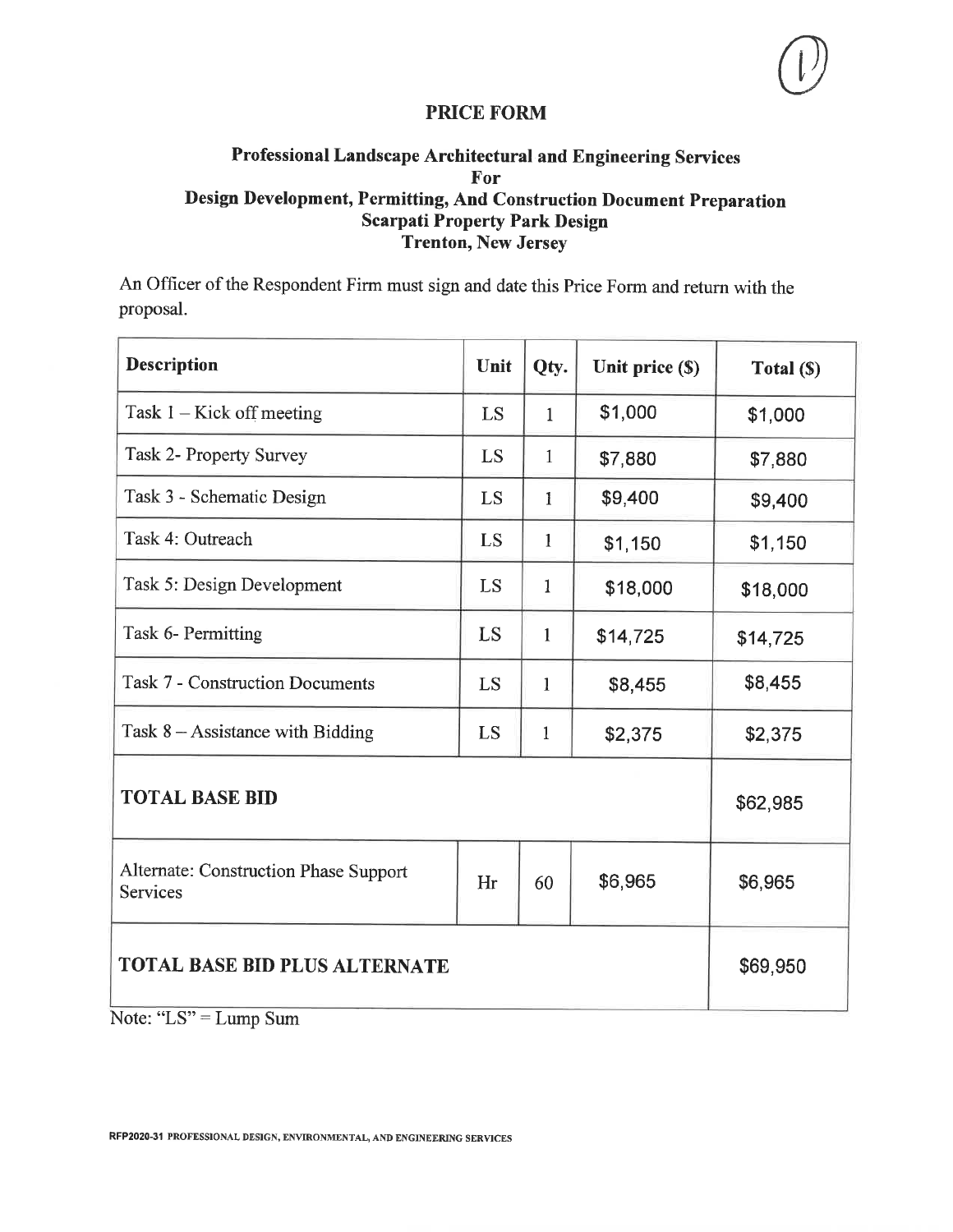## Professional Landscape Architectural and Engineering Services For Design Development, Permitting, And Construction Document Preparation **Scarpati Property Park Design Trenton, New Jersey**

An Officer of the Respondent Firm must sign and date this Price Form and return with the proposal.

| <b>Description</b>                                | Unit | Qty.         | Unit price (\$) | Total (\$) |  |
|---------------------------------------------------|------|--------------|-----------------|------------|--|
| Task $1 -$ Kick off meeting                       | LS   | $\mathbf{1}$ | \$1,000         | \$1,000    |  |
| Task 2- Property Survey                           | LS   | $\mathbf{1}$ | \$7,880         | \$7,880    |  |
| Task 3 - Schematic Design                         | LS   | $\mathbf{1}$ | \$9,400         | \$9,400    |  |
| Task 4: Outreach                                  | LS   | $\mathbf{1}$ | \$1,150         | \$1,150    |  |
| Task 5: Design Development                        | LS   | $\mathbf{1}$ | \$18,000        | \$18,000   |  |
| Task 6- Permitting                                | LS   | $\mathbf{1}$ | \$14,725        | \$14,725   |  |
| <b>Task 7 - Construction Documents</b>            | LS   | $\mathbf{1}$ | \$8,455         | \$8,455    |  |
| Task $8 -$ Assistance with Bidding                | LS   | $\mathbf{1}$ | \$2,375         | \$2,375    |  |
| <b>TOTAL BASE BID</b>                             |      |              |                 | \$62,985   |  |
| Alternate: Construction Phase Support<br>Services | Hr   | 60           | \$6,965         | \$6,965    |  |
| <b>TOTAL BASE BID PLUS ALTERNATE</b>              |      |              |                 | \$69,950   |  |
| Note: " $LS$ " = Lump Sum                         |      |              |                 |            |  |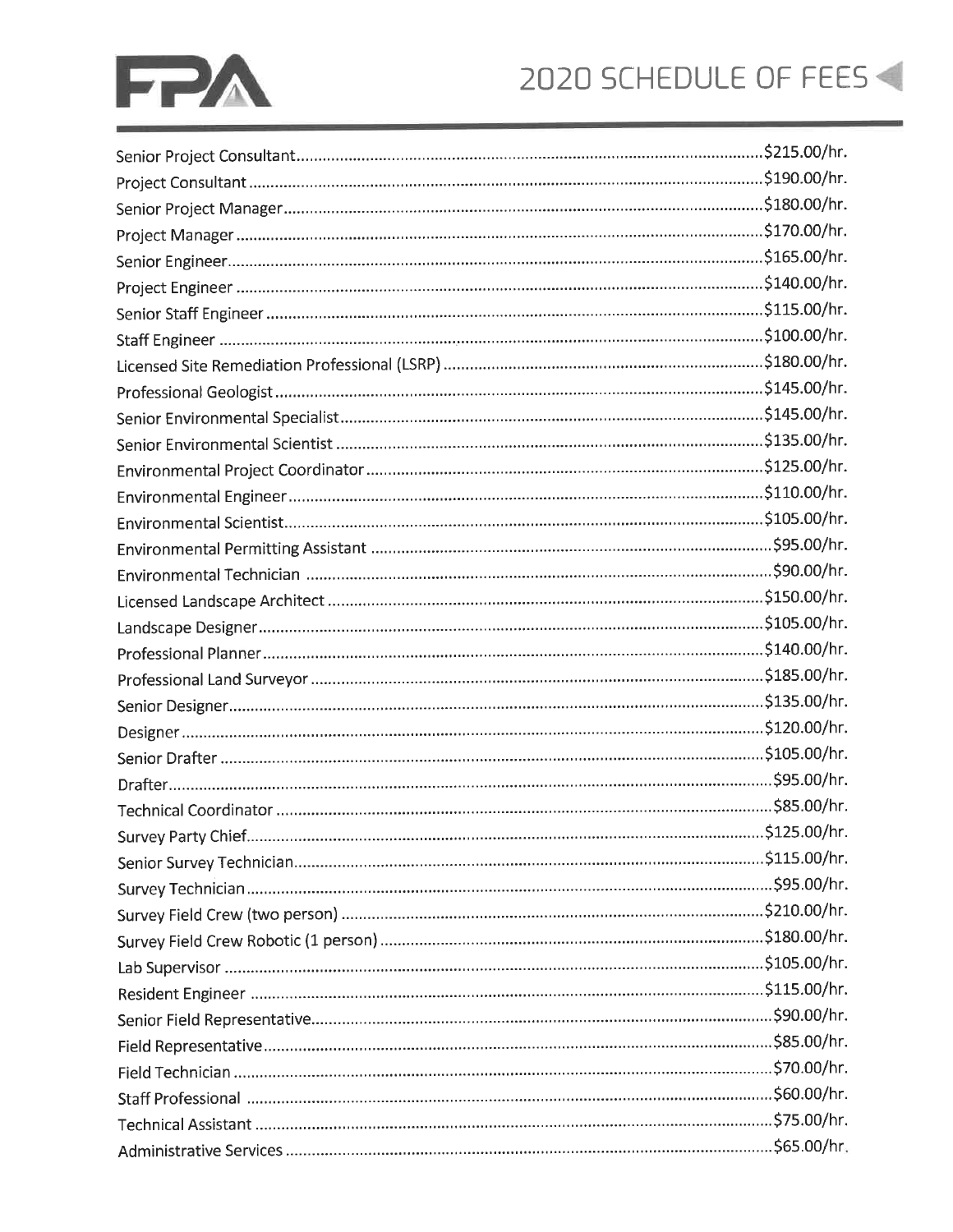# 2020 SCHEDULE OF FEES

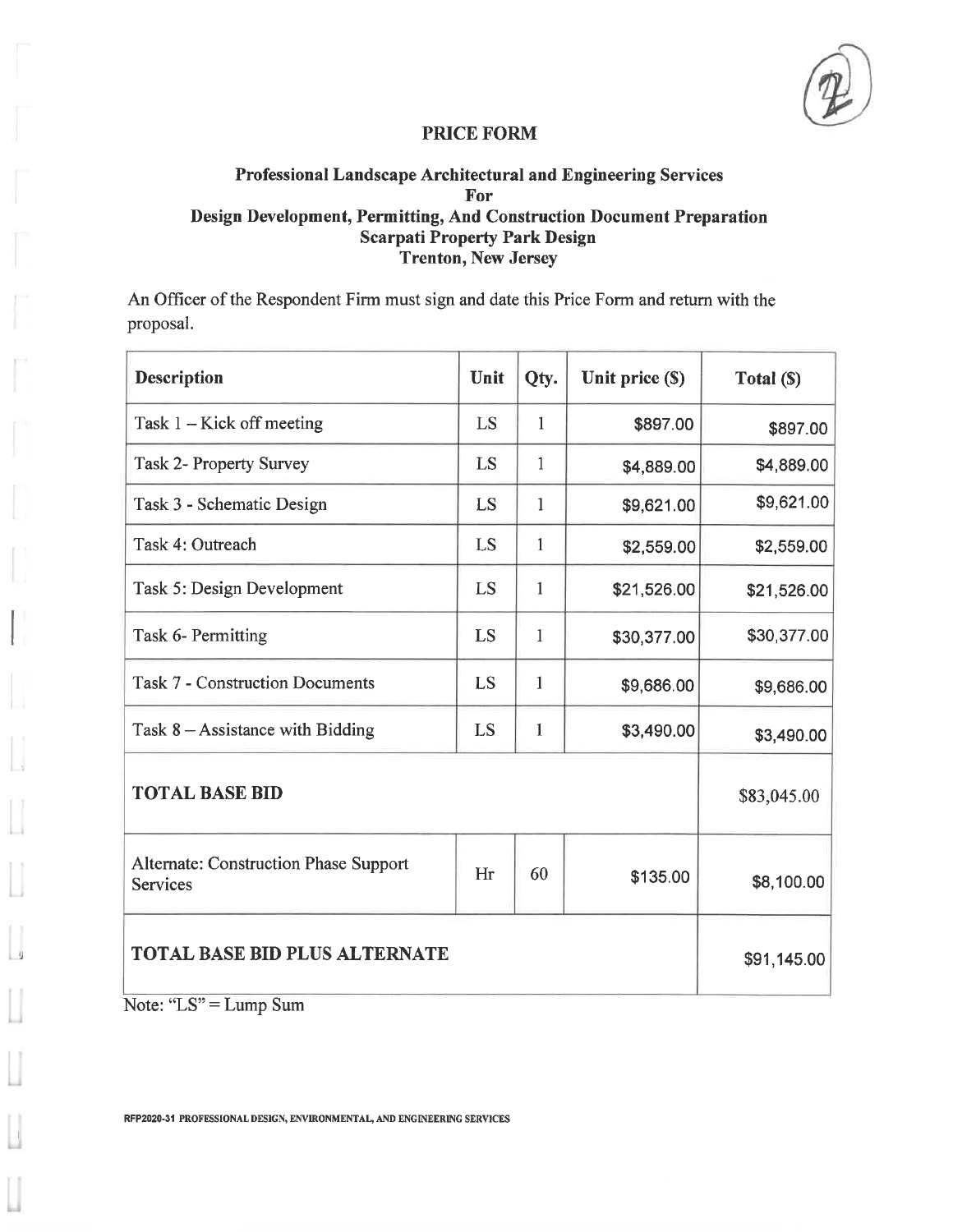### Professional Landscape Architectural and Engineering Services For Design Development, Permitting, And Construction Document Preparation **Scarpati Property Park Design Trenton, New Jersey**

An Officer of the Respondent Firm must sign and date this Price Form and return with the proposal.

| <b>Description</b>                                       | Unit | Qty.         | Unit price (\$) | Total (\$)  |
|----------------------------------------------------------|------|--------------|-----------------|-------------|
| Task 1 - Kick off meeting                                | LS   | 1            | \$897.00        | \$897.00    |
| <b>Task 2- Property Survey</b>                           | LS   | $\mathbf{1}$ | \$4,889.00      | \$4,889.00  |
| Task 3 - Schematic Design                                | LS   | 1            | \$9,621.00      | \$9,621.00  |
| Task 4: Outreach                                         | LS   | $\mathbf{1}$ | \$2,559.00      | \$2,559.00  |
| Task 5: Design Development                               | LS   | 1            | \$21,526.00     | \$21,526.00 |
| Task 6- Permitting                                       | LS   | $\mathbf{1}$ | \$30,377.00     | \$30,377.00 |
| <b>Task 7 - Construction Documents</b>                   | LS   | 1            | \$9,686.00      | \$9,686.00  |
| Task $8 -$ Assistance with Bidding                       | LS   | 1            | \$3,490.00      | \$3,490.00  |
| <b>TOTAL BASE BID</b>                                    |      |              |                 | \$83,045.00 |
| <b>Alternate: Construction Phase Support</b><br>Services | Hr   | 60           | \$135.00        | \$8,100.00  |
| <b>TOTAL BASE BID PLUS ALTERNATE</b>                     |      |              |                 | \$91,145.00 |

Note: "LS" = Lump Sum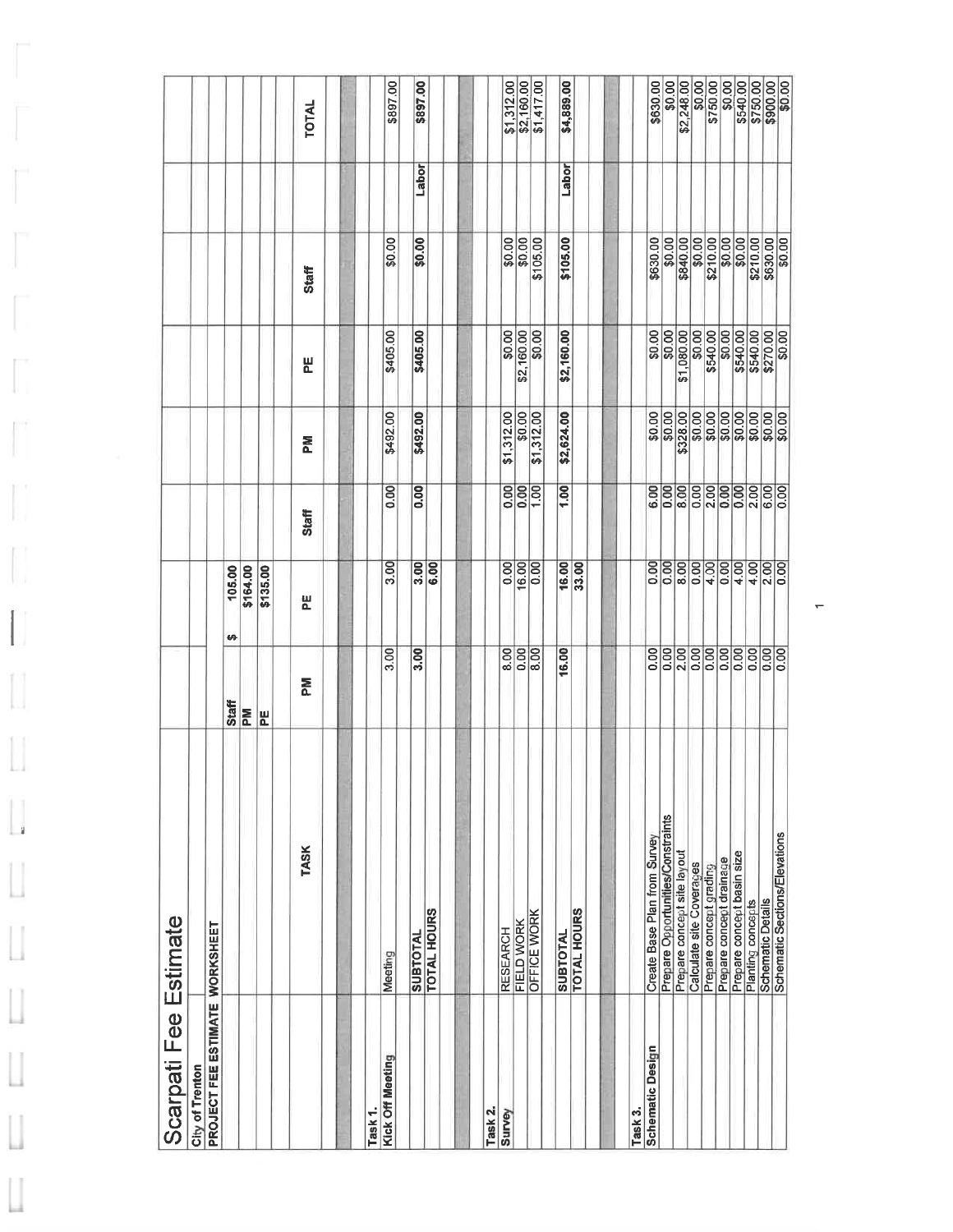| Scarpati Fee Estimate          |                                   |                   |                      |                     |                    |            |          |       |                          |
|--------------------------------|-----------------------------------|-------------------|----------------------|---------------------|--------------------|------------|----------|-------|--------------------------|
| <b>City of Trenton</b>         |                                   |                   |                      |                     |                    |            |          |       |                          |
| PROJECT FEE ESTIMATE WORKSHEET |                                   |                   |                      |                     |                    |            |          |       |                          |
|                                |                                   | <b>Staff</b>      | 105.00<br>÷          |                     |                    |            |          |       |                          |
|                                |                                   | ΣÃ                | \$164.00             |                     |                    |            |          |       |                          |
|                                |                                   | E                 | \$135.00             |                     |                    |            |          |       |                          |
|                                | <b>TASK</b>                       | ΣÃ                | 뿐                    | Staff               | <b>Md</b>          | 븬          | Staff    |       | TOTAL                    |
| ask <sub>1</sub> .             |                                   |                   |                      |                     |                    |            |          |       |                          |
| <b>Cick Off Meeting</b>        | Meeting                           | 3.00              | $\overline{3.00}$    | 0.00                | \$492.00           | \$405.00   | \$0.00   |       | \$897.00                 |
|                                | <b>SUBTOTAL</b>                   | 3.00              | 3.00                 | $\overline{0}$      | \$492.00           | \$405.00   | \$0.00   | Labor | \$897.00                 |
|                                | <b>TOTAL HOURS</b>                |                   | 6.00                 |                     |                    |            |          |       |                          |
|                                |                                   |                   |                      |                     |                    |            |          |       |                          |
| Task 2.                        |                                   |                   |                      |                     |                    |            |          |       |                          |
| Survey                         | <b>RESEARCH</b>                   | 8.00              | 0.00                 |                     | \$1,312.00         | \$0.00     | \$0.00   |       | \$1,312.00               |
|                                | FIELD WORK                        | $rac{80}{80}$     | $\frac{16.00}{0.00}$ | $rac{80}{100}$      | \$0.00             | \$2,160.00 | \$0.00   |       |                          |
|                                | OFFICE WORK                       |                   |                      | $\frac{100}{100}$   | \$1,312.00         | \$0.00     | \$105.00 |       | \$2,160.00<br>\$1,417.00 |
|                                | <b>SUBTOTAL</b>                   | 16.00             | 16.00                | 1.00                | \$2,624.00         | \$2,160.00 | \$105.00 | Labor | \$4,889.00               |
|                                | <b>TOTAL HOURS</b>                |                   | 33.00                |                     |                    |            |          |       |                          |
|                                |                                   |                   |                      |                     |                    |            |          |       |                          |
| ask 3.                         |                                   |                   |                      |                     |                    |            |          |       |                          |
| <b>Schematic Design</b>        | Create Base Plan from Survey      | $\overline{0.00}$ | 0.00                 | 6.00                | \$0.00             | \$0.00     | \$630.00 |       | \$630.00                 |
|                                | Prepare Opportunities/Constraints | 0.00              | 0.00                 | $\overline{0.00}$   | \$0.00             | \$0.00     | \$0.00   |       | \$0.00                   |
|                                | Prepare concept site layout       | $\overline{2.00}$ | $\overline{8.00}$    | 8.00                | \$328.00           | \$1,080.00 | \$840.00 |       | \$2,248.00               |
|                                | Calculate site Coverages          | $\overline{0.00}$ | 0.00                 | 0.00                | $80.00$<br>$80.00$ | 50.00      | \$0.00   |       | \$0.00                   |
|                                | Prepare concept grading           | 0.00              | 4.00                 | $\frac{2.00}{0.00}$ |                    | \$540.00   | \$210.00 |       | \$750.00                 |
|                                | Prepare concept drainage          | $\overline{0.00}$ | $\overline{6}$       |                     |                    | \$0.00     | \$0.00   |       | \$0.00                   |
|                                | Prepare concept basin size        | 0.00              | 4.00                 | 0.00                |                    | \$540.00   | \$0.00   |       | \$540.00                 |
|                                | Planting concepts                 | $\overline{0.00}$ | 4.00                 | $rac{888}{1600}$    | 88888              | \$540.00   | \$210.00 |       |                          |
|                                | Schematic Details                 | $\overline{0.00}$ | 2.00                 |                     |                    | \$270.00   | \$630.00 |       | \$750.00                 |
|                                | Schematic Sections/Elevations     | 0.00              | $\overline{0.00}$    |                     |                    | \$0.00     | \$0.00   |       | \$0.00                   |

ľ

 $\begin{bmatrix} 1 \\ 1 \end{bmatrix}$ 

 $\begin{bmatrix} 1 \\ 1 \end{bmatrix}$ 

 $\begin{bmatrix} 1 \\ 1 \end{bmatrix}$ 

IJ

 $\Box$ 

 $\Box$ 

U

IJ

L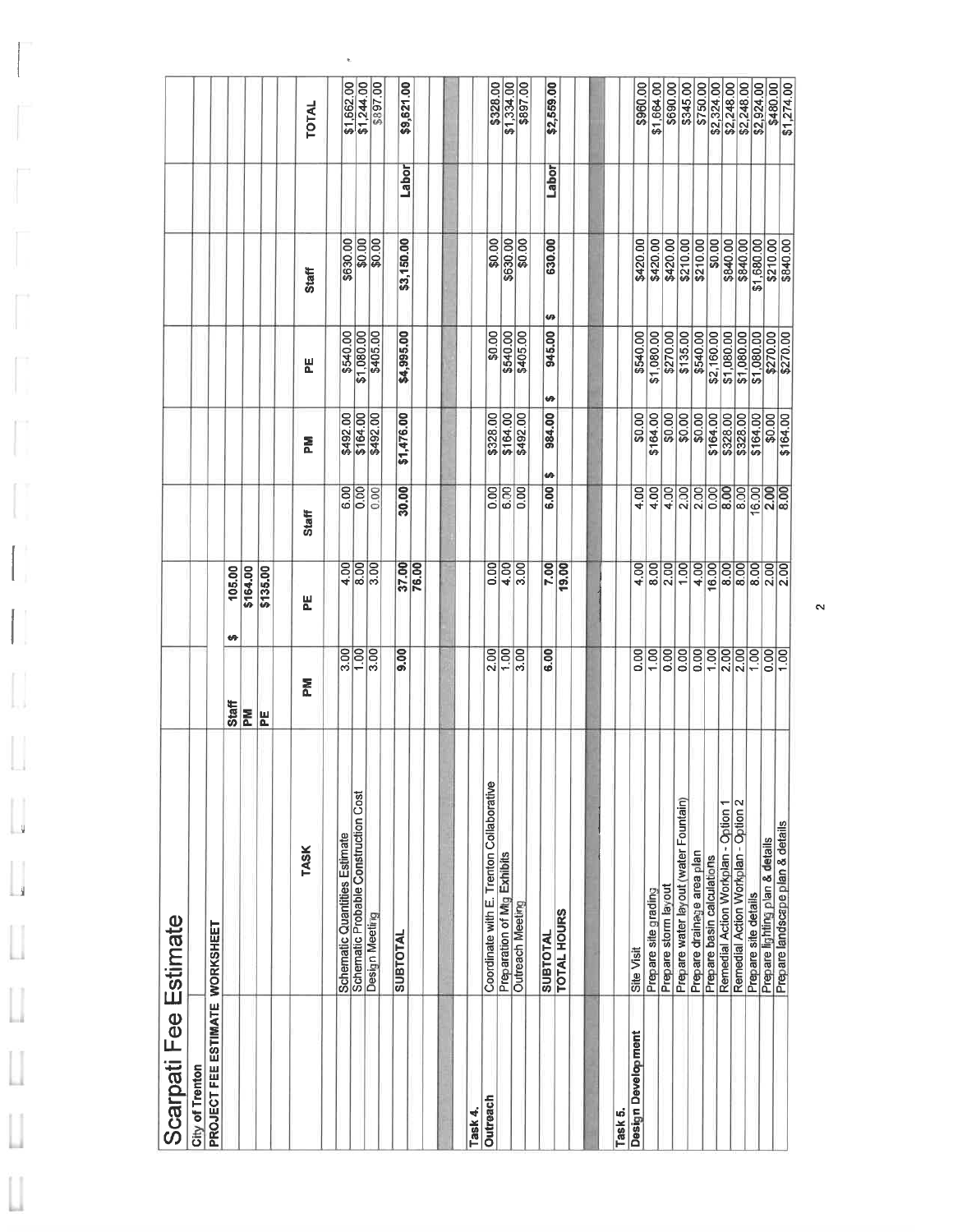| Scarpati Fee Estimate          |                                          |                            |                   |                     |                      |                          |              |       |              |
|--------------------------------|------------------------------------------|----------------------------|-------------------|---------------------|----------------------|--------------------------|--------------|-------|--------------|
| City of Trenton                |                                          |                            |                   |                     |                      |                          |              |       |              |
| PROJECT FEE ESTIMATE WORKSHEET |                                          |                            |                   |                     |                      |                          |              |       |              |
|                                |                                          | Staff                      | 105.00<br>₩       |                     |                      |                          |              |       |              |
|                                |                                          | E.                         | \$164.00          |                     |                      |                          |              |       |              |
|                                |                                          | 뷘                          | \$135.00          |                     |                      |                          |              |       |              |
|                                | <b>TASK</b>                              | N4                         | 빋                 | Staff               | 홊                    | 뷘                        | <b>Staff</b> |       | <b>TOTAL</b> |
|                                | Schematic Quantities Estimate            | 3.00                       | 4.00              |                     |                      | \$540.00                 | \$630.00     |       | \$1,662.00   |
|                                | Schematic Probable Construction Cost     | $\boxed{00}$               |                   | $rac{6.00}{0.00}$   | \$492.00<br>\$164.00 | \$1,080.00               |              |       | \$1,244.00   |
|                                | Design Meeting                           | $\overline{\frac{8}{300}}$ | $\frac{800}{300}$ | 0.00                | \$492.00             | \$405.00                 | 80.00        |       | \$897.00     |
|                                | <b>SUBTOTAL</b>                          | 00.6                       | 37.00             | 30.00               | \$1,476.00           | \$4,995.00               | \$3,150.00   | Labor | \$9,621.00   |
|                                |                                          |                            | 76.00             |                     |                      |                          |              |       |              |
|                                |                                          |                            |                   |                     |                      |                          |              |       |              |
| Task 4.                        |                                          |                            |                   |                     |                      |                          |              |       |              |
| Outreach                       | Coordinate with E. Trenton Collaborative | 2.00                       | $\overline{0.00}$ | 0.00                | \$328.00             | \$0.00                   | \$0.00       |       | \$328.00     |
|                                | Preparation of Mtg Exhibits              | 1.00                       | 4.00              | 6.00                |                      | \$540.00                 | \$630.00     |       | \$1,334.00   |
|                                | <b>Outreach Meeting</b>                  | 3.00                       | 3.00              | $\overline{6}$      | \$164.00<br>\$492.00 | \$405.00                 | \$0.00       |       | \$897.00     |
|                                | <b>SUBTOTAL</b>                          | 6.00                       | 7.00              | 6.00                | 984.00<br>ø          | <b>UT</b><br>945.00<br>Ø | 630.00       | Labor | \$2,559.00   |
|                                | <b>TOTAL HOURS</b>                       |                            | 19.00             |                     |                      |                          |              |       |              |
|                                |                                          |                            |                   |                     |                      |                          |              |       |              |
| Task 5.                        |                                          |                            |                   |                     |                      |                          |              |       |              |
| <b>Design Development</b>      | Site Visit                               | 0.00                       | 4.00              | 4.00                | \$0.00               | \$540.00                 | \$420.00     |       | \$960.00     |
|                                | Prepare site grading                     | 1,00                       | 8.00              | 4.00                | \$164.00             | \$1,080.00               | \$420.00     |       | \$1,664.00   |
|                                | Prepare storm layout                     | 0.00                       | 2.00              | 4.00                |                      | \$270.00                 | \$420.00     |       | \$690.00     |
|                                | Prepare water layout (water Fountain)    | $\overline{0.00}$          | 1,00              | 2.00                | \$0.00               | \$135.00                 | \$210.00     |       | \$345.00     |
|                                | Prepare drainage area plan               | 0.00                       | 4.00              | 2.00                | \$0.00               | \$540.00                 | \$210.00     |       | \$750.00     |
|                                | Prepare basin calculations               | 00                         | 16.00             | $rac{80}{800}$      | \$164.00             | \$2,160.00               | \$0.00       |       | \$2,324.00   |
|                                | Remedial Action Workplan - Option 1      | 2.00                       | 8.00              |                     | \$328.00             | \$1,080.00               | \$840.00     |       | \$2,248.00   |
|                                | Remedial Action Workplan - Option 2      | $\overline{2.00}$          | 8.00              | 8.00                | \$328.00             | \$1,080.00               | \$840.00     |       | \$2,248.00   |
|                                | Prepare site details                     | 1,00                       | 8.00              | 16.00               | \$164.00             | \$1,080.00               | \$1,680.00   |       | \$2,924.00   |
|                                | Prepare lighting plan & details          | 0.00                       | 2.00              | $\frac{2.00}{8.00}$ | \$0.00               | \$270.00                 | \$210.00     |       | \$480.00     |
|                                | Prepare landscape plan & details         | $\overline{1.00}$          | $\overline{2.00}$ |                     | \$164.00             | \$270.00                 | \$840.00     |       |              |

 $\tilde{\mathbf{z}}$ 

u

 $\frac{1}{2}$ 

Ľ

u

w

L

 $\mathbf{\sim}$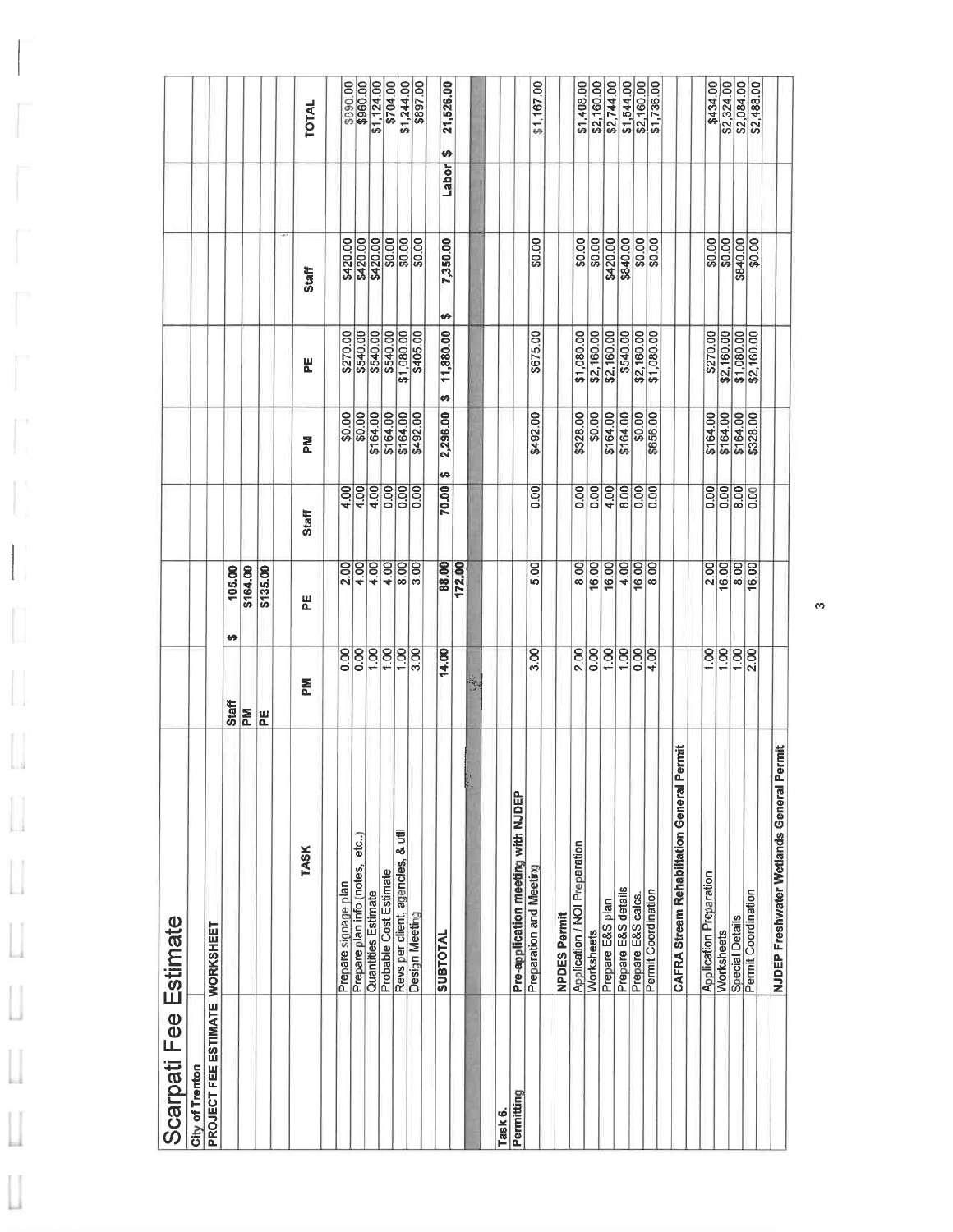| Scarpati Fee Estimate          |                                                       |                   |                     |                     |                      |                      |                      |            |                          |
|--------------------------------|-------------------------------------------------------|-------------------|---------------------|---------------------|----------------------|----------------------|----------------------|------------|--------------------------|
| City of Trenton                |                                                       |                   |                     |                     |                      |                      |                      |            |                          |
| PROJECT FEE ESTIMATE WORKSHEET |                                                       |                   |                     |                     |                      |                      |                      |            |                          |
|                                |                                                       | <b>Staff</b>      | 105.00<br><b>SA</b> |                     |                      |                      |                      |            |                          |
|                                |                                                       | <b>Md</b>         | \$164.00            |                     |                      |                      |                      |            |                          |
|                                |                                                       | 씬                 | \$135.00            |                     |                      |                      |                      |            |                          |
|                                | <b>TASK</b>                                           | 혽                 | 빋                   | Staff               | Š                    | 붙                    | <b>Staff</b>         |            | <b>TOTAL</b>             |
|                                | Prepare signage plan                                  | 0.00              | 2.00                | 4.00                | \$0.00               | \$270.00             |                      |            | \$690.00                 |
|                                | etc)<br>Prepare plan info (notes,                     | $\overline{5}$    | 4.00                | 4.00                | \$0.00               |                      | \$420.00<br>\$420.00 |            | \$960.00                 |
|                                | Quantities Estimate                                   | 1,00              | $\frac{1}{4.00}$    | 4.00                | \$164.00             | \$540.00<br>\$540.00 | \$420.00             |            | \$1,124.00               |
|                                | Probable Cost Estimate                                | 1.00              | 4.00                |                     | \$164.00             | \$540.00             |                      |            | \$704.00                 |
|                                | Revs per client, agencies, & util                     | 00                | 8.00                | 888                 | \$164.00             | \$1,080.00           | $\frac{$0.00}{0.00}$ |            | \$1,244.00               |
|                                | Design Meeting                                        | 3.00              | $\overline{3.00}$   |                     | \$492.00             | \$405.00             | $rac{1}{20.00}$      |            | \$897.00                 |
|                                | <b>SUBTOTAL</b>                                       | 14.00             | 88.00               | ø<br>70.00          | 2,296.00             | \$<br>11,880.00<br>ø | 7,350.00             | H<br>Labor | 21,526.00                |
|                                |                                                       |                   | 172.00              |                     |                      |                      |                      |            |                          |
|                                |                                                       | 之外                |                     |                     |                      |                      |                      |            |                          |
|                                |                                                       |                   |                     |                     |                      |                      |                      |            |                          |
| Task 6.                        |                                                       |                   |                     |                     |                      |                      |                      |            |                          |
| Permitting                     | Pre-application meeting with NJDEP                    |                   |                     |                     |                      |                      |                      |            |                          |
|                                | Preparation and Meeting                               | 3.00              | 5.00                | 0.00                | \$492.00             | \$675.00             | \$0.00               |            | \$1,167.00               |
|                                | <b>NPDES Permit</b>                                   |                   |                     |                     |                      |                      |                      |            |                          |
|                                | Application / NOI Preparation                         | 2.00              | 8.00                | 0.00                | \$328.00             | \$1,080.00           | \$0.00               |            | \$1,408.00               |
|                                | Worksheets                                            | 0.00              | 16.00               | 0.00                | \$0.00               | \$2,160.00           | \$0.00               |            | \$2,160.00               |
|                                | Prepare E&S plan                                      | 00                | 16.00               | 4.00                | \$164.00             | \$2,160.00           | \$420.00             |            | \$2,744.00               |
|                                | Prepare E&S details                                   | 1,00              | 4.00                |                     | \$164.00             | \$540.00             | \$840.00             |            | \$1,544.00               |
|                                | Prepare E&S calcs.                                    | $\overline{0.00}$ | 16.00               | $\frac{8.00}{0.00}$ | \$0.00               | \$2,160.00           | \$0.00               |            |                          |
|                                | <b>Permit Coordination</b>                            | 4.00              | $\overline{8}$      | $\overline{0.00}$   | \$656.00             | \$1,080.00           | \$0.00               |            | \$2,160.00<br>\$1,736.00 |
|                                | ermit<br><b>CAFRA Stream Rehabiltation General Pe</b> |                   |                     |                     |                      |                      |                      |            |                          |
|                                | <b>Application Preparation</b>                        | 00.1              | 2.00                | 0.00                | \$164.00             | \$270.00             | \$0.00               |            | \$434.00                 |
|                                | Worksheets                                            | 1.00              | 16.00               | $rac{888}{160}$     | \$164.00             | \$2,160.00           | \$0.00               |            | \$2,324.00               |
|                                | Special Details<br>Permit Coordination                | 1.00              | 8.00                |                     | \$164.00<br>\$328.00 | \$1,080.00           | \$840.00             |            |                          |
|                                |                                                       | $\overline{2.00}$ | 16.00               |                     |                      | \$2,160.00           | \$0.00               |            | \$2,084.00<br>\$2,488.00 |
|                                | NJDEP Freshwater Wetlands General Permit              |                   |                     |                     |                      |                      |                      |            |                          |

H

Ū

L

 $\mathbb{I}$ 

L

L

 $\begin{bmatrix} 1 \\ 2 \end{bmatrix}$ 

ш

U

 $\mathfrak{S}$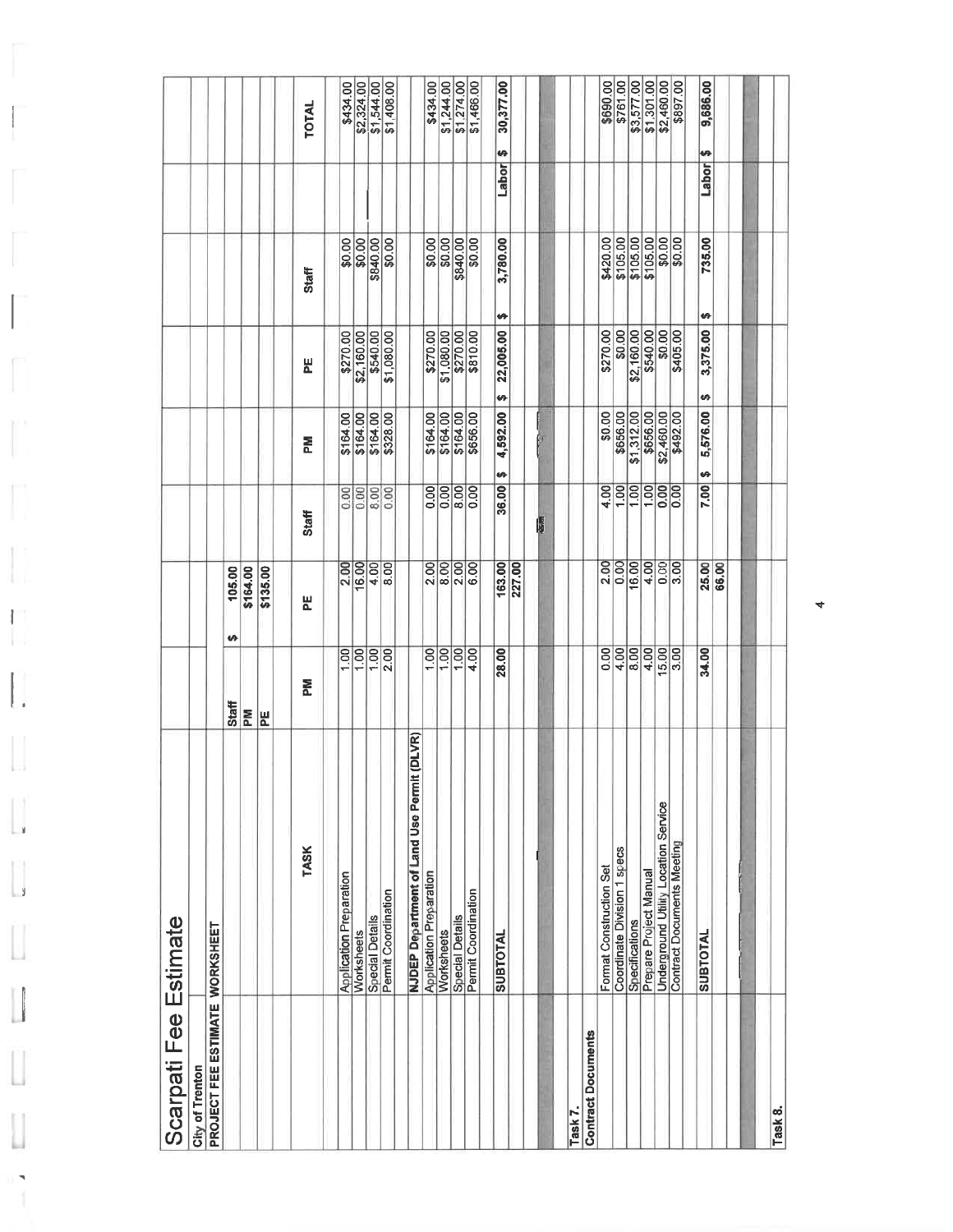| Scarpati Fee Estimate                 |                                                      |                 |                   |                   |                        |                     |          |            |            |
|---------------------------------------|------------------------------------------------------|-----------------|-------------------|-------------------|------------------------|---------------------|----------|------------|------------|
| <b>City of Trenton</b>                |                                                      |                 |                   |                   |                        |                     |          |            |            |
| <b>PROJECT FEE ESTIMATE WORKSHEET</b> |                                                      |                 |                   |                   |                        |                     |          |            |            |
|                                       |                                                      | Staff           | 105.00<br>₩       |                   |                        |                     |          |            |            |
|                                       |                                                      | ΣÃ              | \$164.00          |                   |                        |                     |          |            |            |
|                                       |                                                      | PE              | \$135.00          |                   |                        |                     |          |            |            |
|                                       | <b>TASK</b>                                          | <b>N</b>        | 붙                 | <b>Staff</b>      | 좂                      | 뷘                   | Staff    |            | TOTAL      |
|                                       | <b>Application Preparation</b>                       | 1.00            | 2.00              |                   | \$164.00               | \$270.00            | \$0.00   |            | \$434.00   |
|                                       | Worksheets                                           | $\overline{00}$ | 16.00             | $rac{8888}{800}$  | \$164.00               | \$2,160.00          | \$0.00   |            | \$2,324.00 |
|                                       | <b>Special Details</b>                               | 00              | 4.00              |                   | \$164.00               | \$540.00            | \$840.00 |            | \$1,544.00 |
|                                       | Permit Coordination                                  | 2.00            | 8.00              |                   | \$328.00               | \$1,080.00          | \$0.00   |            | \$1,408.00 |
|                                       | (DLVR)<br><b>NJDEP Department of Land Use Permit</b> |                 |                   |                   |                        |                     |          |            |            |
|                                       | <b>Application Preparation</b>                       | 1.00            | 2.00              |                   |                        | \$270.00            | \$0.00   |            | \$434.00   |
|                                       | Worksheets                                           | 1,00            | 8.00              | $rac{0.00}{0.00}$ | \$164.00<br>\$164.00   | \$1,080.00          | \$0.00   |            | \$1,244.00 |
|                                       | Special Details                                      | 1,00            | 2.00              | 8.00              | \$164.00               | \$270.00            | \$840.00 |            | \$1,274.00 |
|                                       | Permit Coordination                                  | 4.00            | $\overline{6.00}$ | $\sqrt{8}$        | \$656.00               | \$810.00            | 80.00    |            | \$1,466.00 |
|                                       | <b>SUBTOTAL</b>                                      | 28.00           | 163.00            | 36.00             | 4,592.00<br>H          | ₩<br>22,005.00<br>Ø | 3,780.00 | ₩<br>Labor | 30,377.00  |
|                                       |                                                      |                 | 227.00            |                   |                        |                     |          |            |            |
|                                       |                                                      |                 |                   |                   |                        |                     |          |            |            |
|                                       |                                                      |                 |                   | ŀ                 |                        |                     |          |            |            |
| Task 7.                               |                                                      |                 |                   |                   |                        |                     |          |            |            |
| <b>Contract Documents</b>             |                                                      |                 |                   |                   |                        |                     |          |            |            |
|                                       | Format Construction Set                              | 0.00            | 2.00              | 4.00              | \$0.00                 | \$270.00            | \$420.00 |            | \$690.00   |
|                                       | Coordinate Division 1 specs                          | 4.00            | 0.00              | $\frac{8}{10}$    | \$656.00               | \$0.00              | \$105.00 |            | \$761.00   |
|                                       | Specifications                                       | 8.00            | 16.00             |                   | \$1,312.00             | \$2,160.00          | \$105.00 |            | \$3,577.00 |
|                                       | Prepare Project Manual                               | 4.00            | 4.00              | 00                | \$656.00               | \$540.00            | \$105.00 |            | \$1,301.00 |
|                                       | Underground Utility Location Service                 | 15.00           | 0.00              | 0.00              |                        |                     |          |            | \$2,460.00 |
|                                       | <b>Contract Documents Meeting</b>                    | 3.00            | 3.00              | $\frac{8}{0}$     | \$2,460.00<br>\$492.00 | \$405.00            | \$0.00   |            | \$897.00   |
|                                       | <b>SUBTOTAL</b>                                      | 34.00           | 25.00             | 7.00              | 5,576.00<br>÷          | ø<br>3,375.00<br>Đ  | 735.00   | ÷<br>Labor | 9,686.00   |
|                                       |                                                      |                 |                   |                   |                        |                     |          |            |            |
|                                       |                                                      |                 |                   |                   |                        |                     |          |            |            |
|                                       |                                                      |                 |                   |                   |                        |                     |          |            |            |
| Task 8.                               |                                                      |                 |                   |                   |                        |                     |          |            |            |

 $\Box$ H.

 $\begin{bmatrix} 1 \\ 1 \end{bmatrix}$ 

IJ

 $\mathbf{L}$ 

 $\overline{\phantom{a}}$ 

 $\begin{bmatrix} \phantom{-} \end{bmatrix}$ 

Ü

ш

4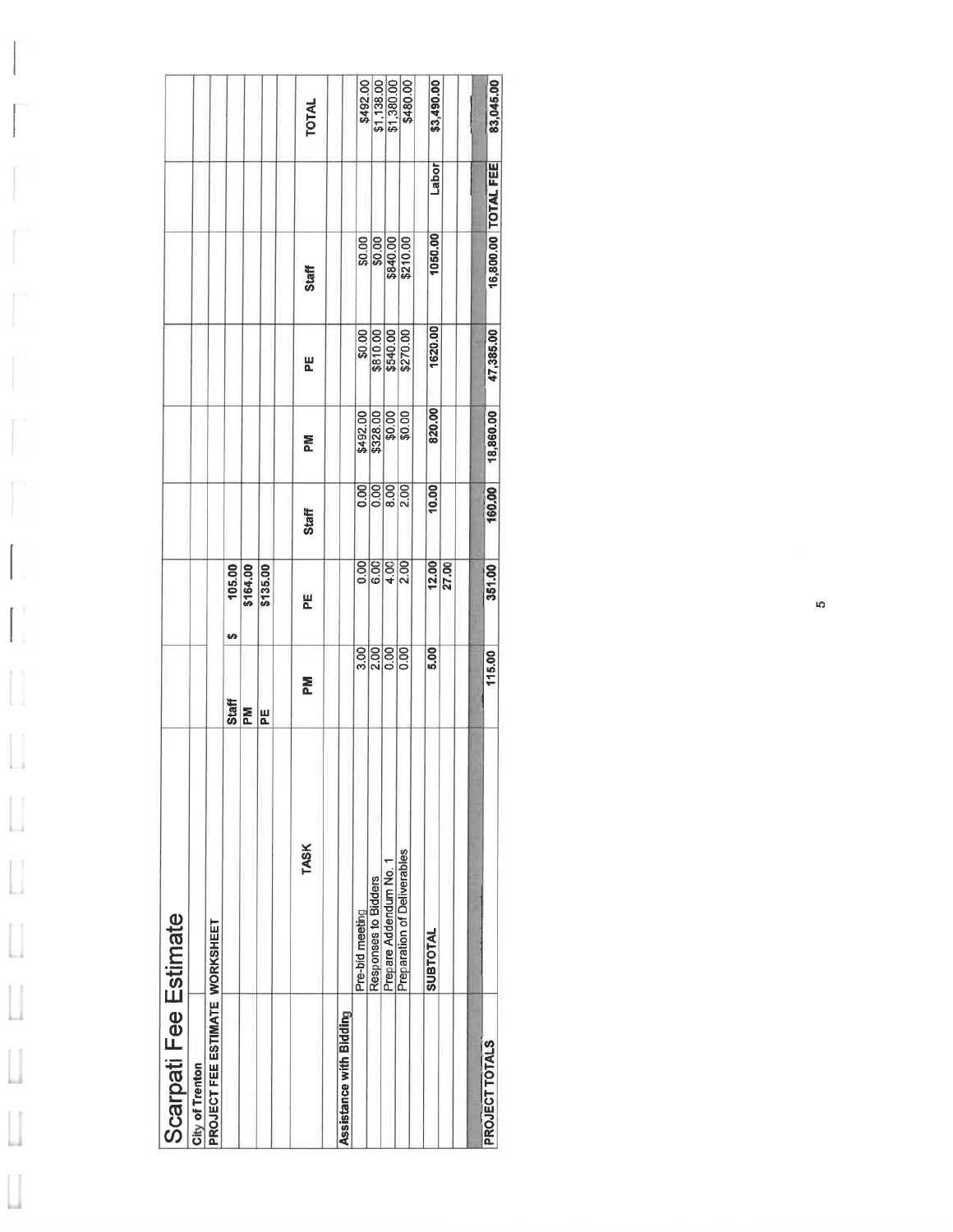|                       |                 |                                | <b>SA</b><br><b>Staff</b> | $\frac{105.00}{164.00}$<br>M | \$135.00<br>HE | <b>TOTAL</b><br><b>Staff</b><br>씬<br>론<br>Staff<br>븬<br>좂<br><b>TASK</b> |                         | \$0.00<br>\$492.00<br>$\frac{1}{2}$<br>$\frac{1}{2}$ | $rac{80.00}{90.00}$<br>\$810.00<br>$\overline{0.00}$<br>$\frac{200}{2}$ | \$540.00<br>8.00<br>$rac{8888}{9944}$<br>0.00 | \$492.00<br>\$1,138.00<br>\$1,380.00<br>\$480.00<br>\$840.00<br>\$270.00<br>$\begin{array}{c} 5328.00 \\ 50.00 \\ 50.00 \end{array}$<br>2.00<br>0.00 | \$3,490.00<br>Labor<br>1050.00<br>1620.00<br>820.00<br>10.00<br>12.00<br>5.00 | 27.00 | 83,045.00<br>16,800.00 TOTAL FEE<br>47,385.00<br>18,860.00<br>160.00<br>351.00<br>115.00 |
|-----------------------|-----------------|--------------------------------|---------------------------|------------------------------|----------------|--------------------------------------------------------------------------|-------------------------|------------------------------------------------------|-------------------------------------------------------------------------|-----------------------------------------------|------------------------------------------------------------------------------------------------------------------------------------------------------|-------------------------------------------------------------------------------|-------|------------------------------------------------------------------------------------------|
|                       |                 |                                |                           |                              |                |                                                                          |                         | Pre-bid meeting                                      | Responses to Bidders                                                    | Prepare Addendum No. 1                        | Preparation of Deliverables                                                                                                                          | <b>SUBTOTAL</b>                                                               |       |                                                                                          |
| Scarpati Fee Estimate | City of Trenton | PROJECT FEE ESTIMATE WORKSHEET |                           |                              |                |                                                                          | Assistance with Bidding |                                                      |                                                                         |                                               |                                                                                                                                                      |                                                                               |       | PROJECT TOTALS                                                                           |

 $\begin{bmatrix} 1 \\ 1 \\ 1 \end{bmatrix}$ 

 $\int_{\tau}$ 

E

 $\mathbb{I}$ 

 $\begin{bmatrix} 1 \\ 1 \\ 1 \end{bmatrix}$ 

 $\prod_1$ 

 $\overline{\mathcal{L}}$ 

 $\hfill\Box$ 

 $\overline{\mathbf{u}}$ 

 $\begin{bmatrix} \phantom{-} \end{bmatrix}$ 

 $\begin{bmatrix} \phantom{-} \end{bmatrix}$ 

 $\hfill\Box$ 

 $\begin{bmatrix} \phantom{-} \end{bmatrix}$ 

 $\begin{bmatrix} \phantom{-} \end{bmatrix}$ 

 $\begin{array}{c} \hline \end{array}$ 

 $\overline{\mathfrak{g}}$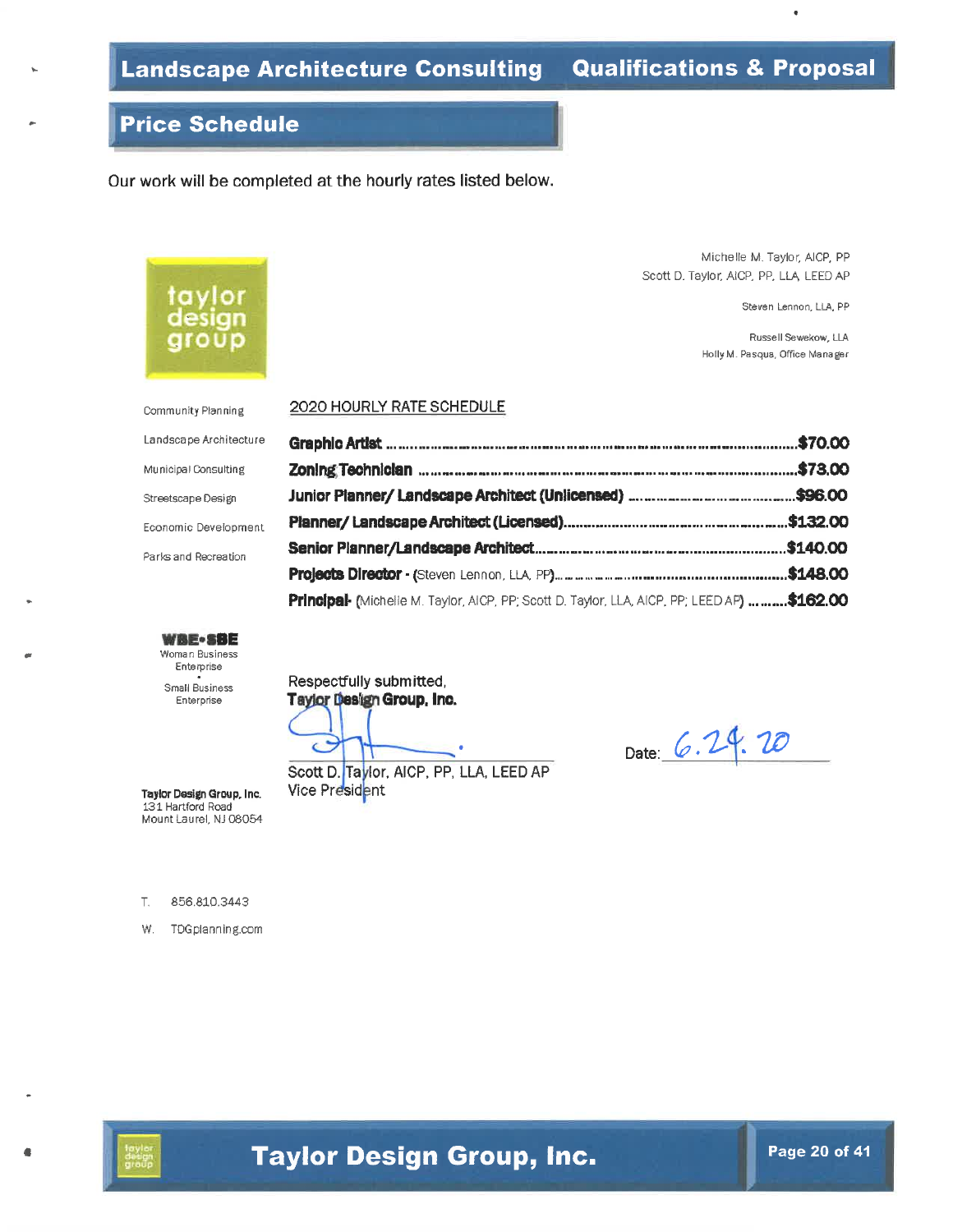Zoning Techniclan www.maracamaracamaracamaracamaracamaracamaracama \$73.00

Principal (Michelle M. Taylor, AICP, PP; Scott D. Taylor, LLA, AICP, PP; LEED AP) ..........\$162.00

## **Price Schedule**

Our work will be completed at the hourly rates listed below.

Michelle M. Taylor, AICP, PP Scott D. Taylor, AICP, PP, LLA LEED AP

Steven Lennon, LLA, PP

Russell Sewekow, LLA Holly M. Pasqua, Office Manager

Community Planning Landscape Architecture Municipal Consulting Streetscape Design Economic Development

taylor

design

aroup

Parks and Recreation

**WBE-SBE** Woman Business Enterprise Small Business Enterprise

Respectfully submitted, Taylor Design Group, Inc.

2020 HOURLY RATE SCHEDULE

 $\epsilon$ 

Scott D. Taylor, AICP, PP, LLA, LEED AP Vice President

Date: 6.24.20

856.810.3443  $\top$ 

Taylor Design Group, Inc. 131 Hartford Road Mount Laurel, NJ 08054

W. TDGplanning.com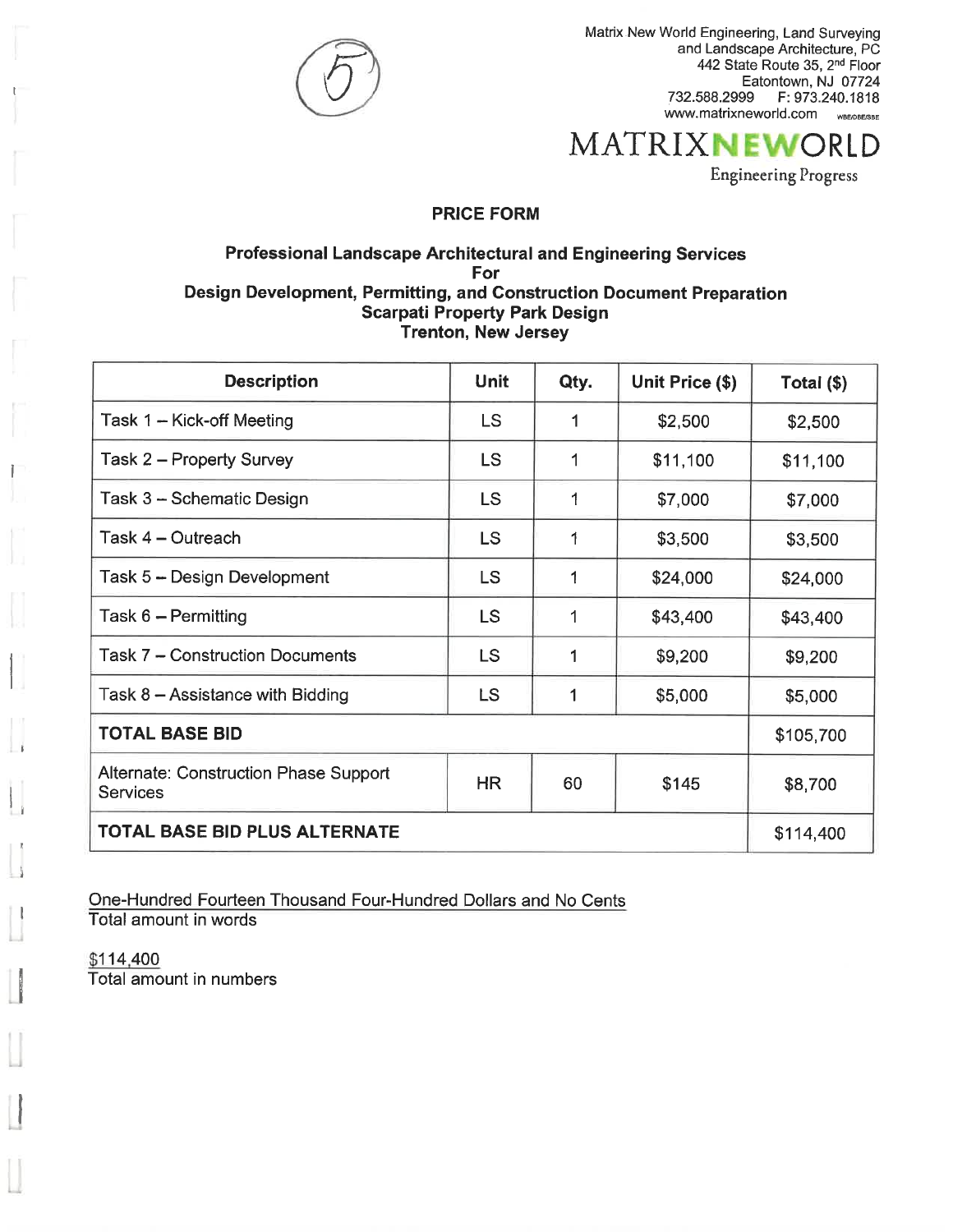

Matrix New World Engineering, Land Surveying<br>and Landscape Architecture, PC 442 State Route 35, 2<sup>nd</sup> Floor<br>Eatontown, NJ 07724 732.588.2999 F: 973.240.1818 www.matrixneworld.com <sub>wBE/DBE/SBE</sub>

## **MATRIXNEWORLD**

**Engineering Progress** 

#### **PRICE FORM**

#### **Professional Landscape Architectural and Engineering Services** For Design Development, Permitting, and Construction Document Preparation **Scarpati Property Park Design** Trenton, New Jersey

| <b>Description</b>                                | Unit      | Qty. | Unit Price (\$) | Total $(\$)$ |
|---------------------------------------------------|-----------|------|-----------------|--------------|
| Task 1 – Kick-off Meeting                         | LS.       | 1    | \$2,500         | \$2,500      |
| Task 2 – Property Survey                          | <b>LS</b> | 1    | \$11,100        | \$11,100     |
| Task 3 - Schematic Design                         | LS        | 1    | \$7,000         | \$7,000      |
| Task 4 - Outreach                                 | <b>LS</b> | 1    | \$3,500         | \$3,500      |
| Task 5 - Design Development                       | <b>LS</b> |      | \$24,000        | \$24,000     |
| Task 6 - Permitting                               | <b>LS</b> |      | \$43,400        | \$43,400     |
| Task 7 - Construction Documents                   | <b>LS</b> |      | \$9,200         | \$9,200      |
| Task $8 -$ Assistance with Bidding                | LS        |      | \$5,000         | \$5,000      |
| <b>TOTAL BASE BID</b>                             |           |      |                 | \$105,700    |
| Alternate: Construction Phase Support<br>Services | <b>HR</b> | 60   | \$145           | \$8,700      |
| <b>TOTAL BASE BID PLUS ALTERNATE</b>              |           |      |                 | \$114,400    |

One-Hundred Fourteen Thousand Four-Hundred Dollars and No Cents Total amount in words

\$114,400 Total amount in numbers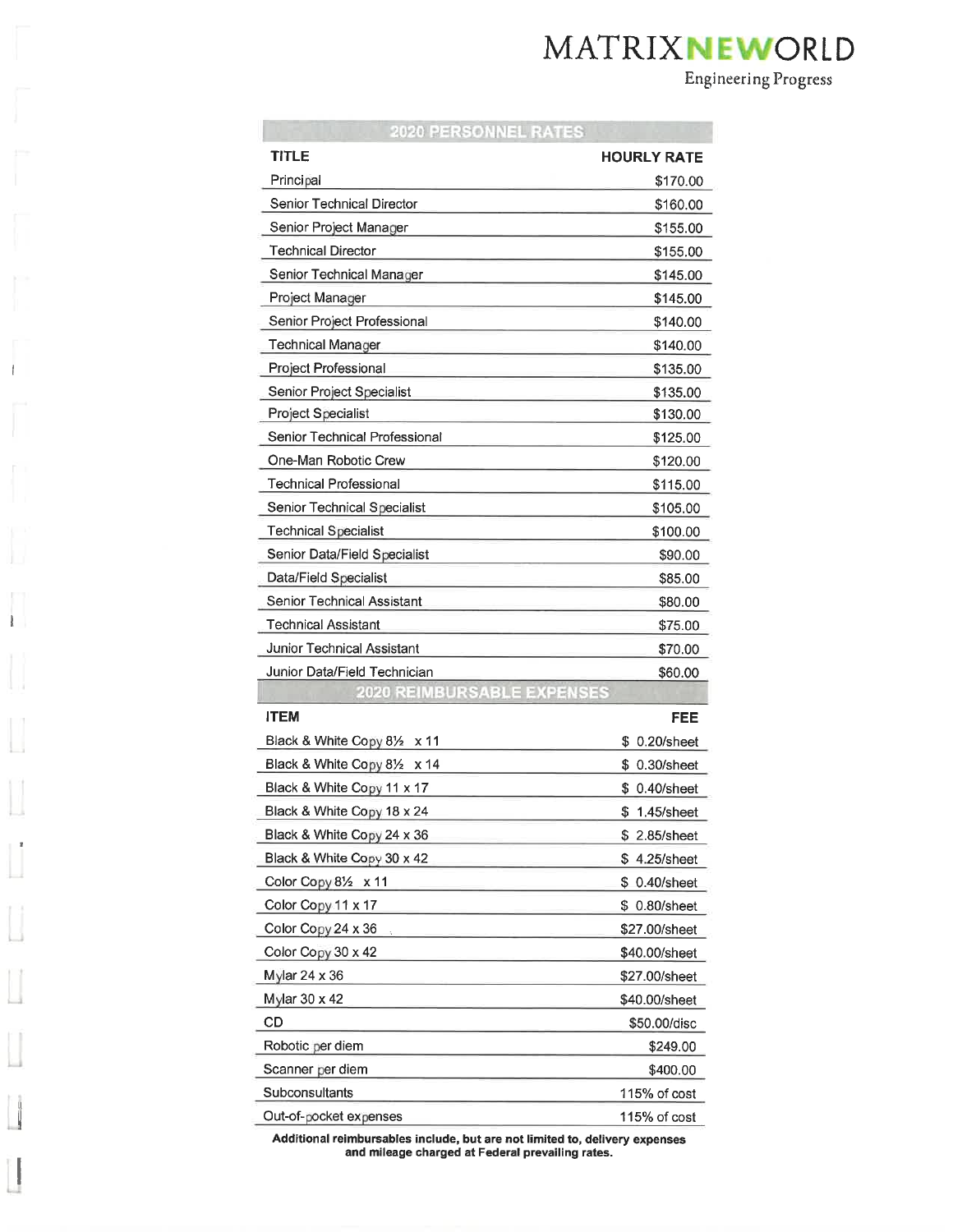## MATRIXNEWORLD

**Engineering Progress** 

| <b>2020 PERSONNEL RATES</b>        |               |
|------------------------------------|---------------|
| <b>TITLE</b>                       | HOURLY RATE   |
| Principal                          | \$170.00      |
| Senior Technical Director          | \$160.00      |
| Senior Project Manager             | \$155.00      |
| <b>Technical Director</b>          | \$155.00      |
| Senior Technical Manager           | \$145.00      |
| Project Manager                    | \$145.00      |
| Senior Project Professional        | \$140.00      |
| Technical Manager                  | \$140.00      |
| Project Professional               | \$135.00      |
| Senior Project Specialist          | \$135.00      |
| <b>Project Specialist</b>          | \$130.00      |
| Senior Technical Professional      | \$125.00      |
| One-Man Robotic Crew               | \$120.00      |
| <b>Technical Professional</b>      | \$115.00      |
| <b>Senior Technical Specialist</b> | \$105.00      |
| <b>Technical Specialist</b>        | \$100.00      |
| Senior Data/Field Specialist       | \$90.00       |
| Data/Field Specialist              | \$85.00       |
| Senior Technical Assistant         | \$80.00       |
| <b>Technical Assistant</b>         | \$75.00       |
| Junior Technical Assistant         | \$70.00       |
| Junior Data/Field Technician       | \$60.00       |
| 183 I                              |               |
| <b>ITEM</b>                        | FEE           |
| Black & White Copy 81/2 x 11       | \$ 0.20/sheet |
| Black & White Copy 81/2 x 14       | \$ 0.30/sheet |
| Black & White Copy 11 x 17         | \$ 0.40/sheet |
| Black & White Copy 18 x 24         | \$1.45/sheet  |
| Black & White Copy 24 x 36         | \$2.85/sheet  |
| Black & White Copy 30 x 42         | \$4.25/sheet  |
| Color Copy 81/2 x 11               | \$ 0.40/sheet |
| Color Copy 11 x 17                 | \$ 0.80/sheet |
| Color Copy 24 x 36                 | \$27.00/sheet |
| Color Copy 30 x 42                 | \$40.00/sheet |
| Mylar 24 x 36                      | \$27.00/sheet |
| Mylar 30 x 42                      | \$40.00/sheet |
| CD                                 | \$50.00/disc  |
| Robotic per diem                   | \$249.00      |
| Scanner per diem                   | \$400.00      |
| Subconsultants                     | 115% of cost  |
| Out-of-pocket expenses             | 115% of cost  |

 $\mathbf{I}$ 

1

Additional reimbursables include, but are not limited to, delivery expenses<br>and mileage charged at Federal prevailing rates.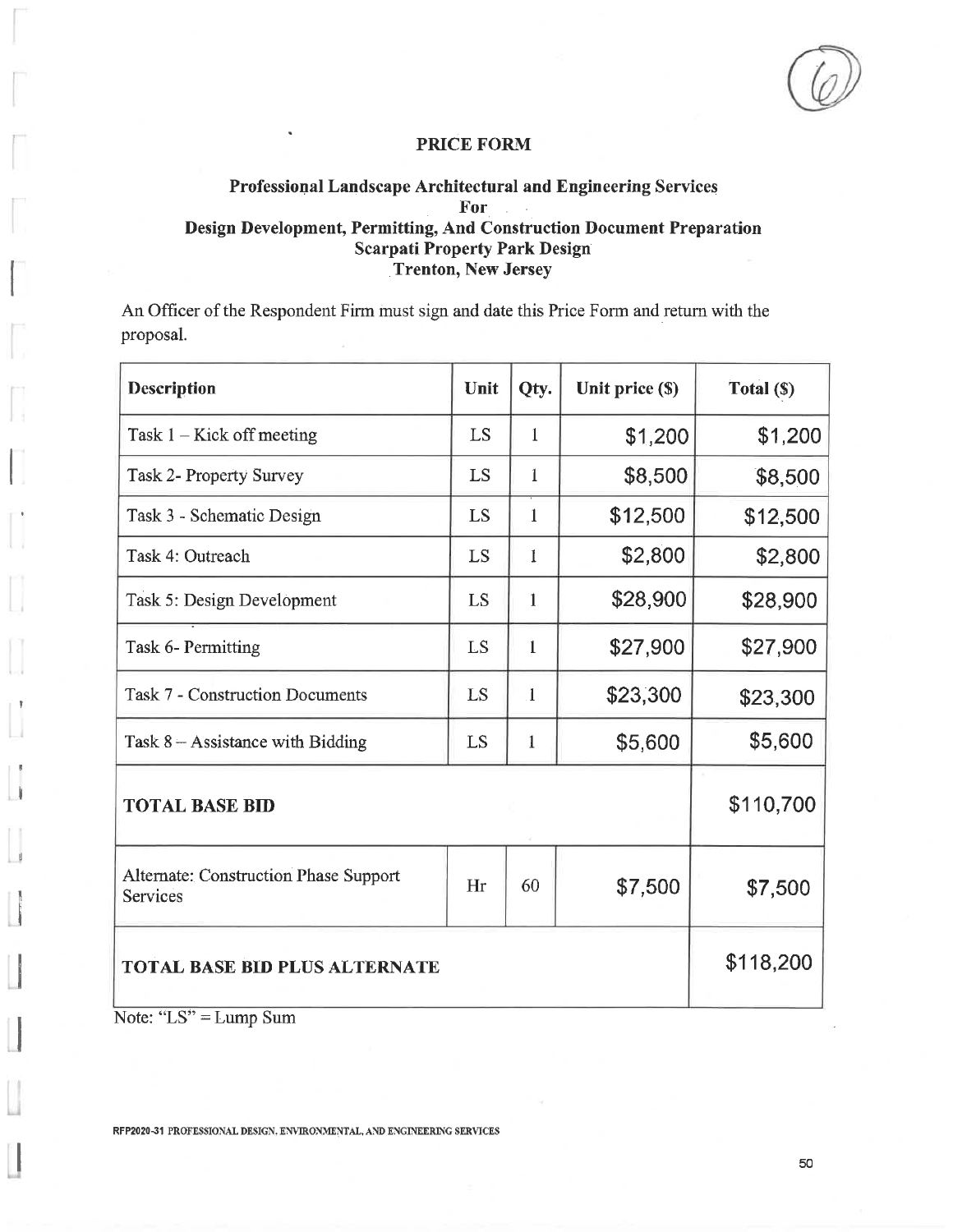#### Professional Landscape Architectural and Engineering Services For Design Development, Permitting, And Construction Document Preparation **Scarpati Property Park Design Trenton, New Jersey**

An Officer of the Respondent Firm must sign and date this Price Form and return with the proposal.

| <b>Description</b>                                       | Unit | Qty.         | Unit price (\$) | Total (\$) |
|----------------------------------------------------------|------|--------------|-----------------|------------|
| Task $1 -$ Kick off meeting                              | LS   | 1            | \$1,200         | \$1,200    |
| <b>Task 2- Property Survey</b>                           | LS   | 1            | \$8,500         | \$8,500    |
| Task 3 - Schematic Design                                | LS   | 1            | \$12,500        | \$12,500   |
| Task 4: Outreach                                         | LS   | 1            | \$2,800         | \$2,800    |
| Task 5: Design Development                               | LS   | 1            | \$28,900        | \$28,900   |
| Task 6- Permitting                                       | LS   | $\mathbf{1}$ | \$27,900        | \$27,900   |
| <b>Task 7 - Construction Documents</b>                   | LS   | $\mathbf{1}$ | \$23,300        | \$23,300   |
| Task $8 -$ Assistance with Bidding                       | LS   | $\mathbf{1}$ | \$5,600         | \$5,600    |
| <b>TOTAL BASE BID</b>                                    |      |              |                 | \$110,700  |
| <b>Alternate: Construction Phase Support</b><br>Services | Hr   | 60           | \$7,500         | \$7,500    |
| <b>TOTAL BASE BID PLUS ALTERNATE</b>                     |      |              |                 | \$118,200  |

Note: " $LS" = Lump Sum$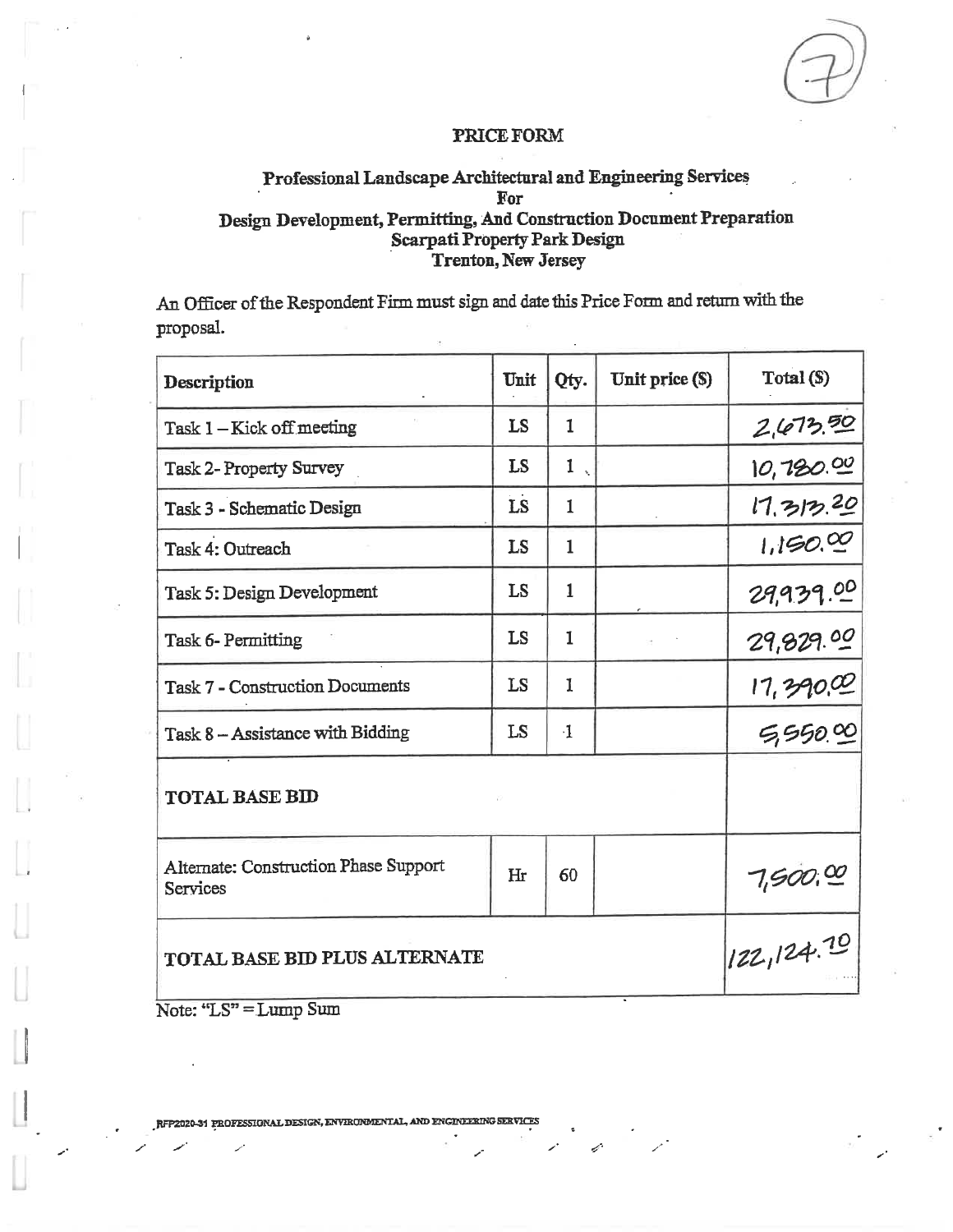### Professional Landscape Architectural and Engineering Services For Design Development, Permitting, And Construction Document Preparation **Scarpati Property Park Design** Trenton, New Jersey

An Officer of the Respondent Firm must sign and date this Price Form and return with the proposal.

| Description                                       | Unit      | Qty.         | Unit price (\$) | Total (\$)                   |
|---------------------------------------------------|-----------|--------------|-----------------|------------------------------|
| Task 1-Kick off meeting                           | LS        | $\mathbf{1}$ |                 | 2,673.50                     |
| <b>Task 2- Property Survey</b>                    | LS        | 1            |                 | 10,780.00                    |
| Task 3 - Schematic Design                         | LS        | $\mathbf{1}$ |                 | 17,312,20                    |
| Task 4: Outreach                                  | <b>LS</b> | $\mathbf{1}$ |                 | 1,150.00                     |
| Task 5: Design Development                        | LS        | $\mathbf{1}$ |                 | 29,939.00                    |
| Task 6- Permitting                                | LS        | 1            |                 | 29,829.00                    |
| <b>Task 7 - Construction Documents</b>            | LS        | 1            |                 |                              |
| Task 8 - Assistance with Bidding                  | LS        | $\cdot$ 1    |                 | $\frac{17,390,00}{5,550,00}$ |
| <b>TOTAL BASE BID</b>                             |           |              |                 |                              |
| Alternate: Construction Phase Support<br>Services | Hr        | 60           |                 | 7,500,00                     |
| TOTAL BASE BID PLUS ALTERNATE                     |           |              |                 | 122,124.70                   |

Note: "LS" = Lump Sum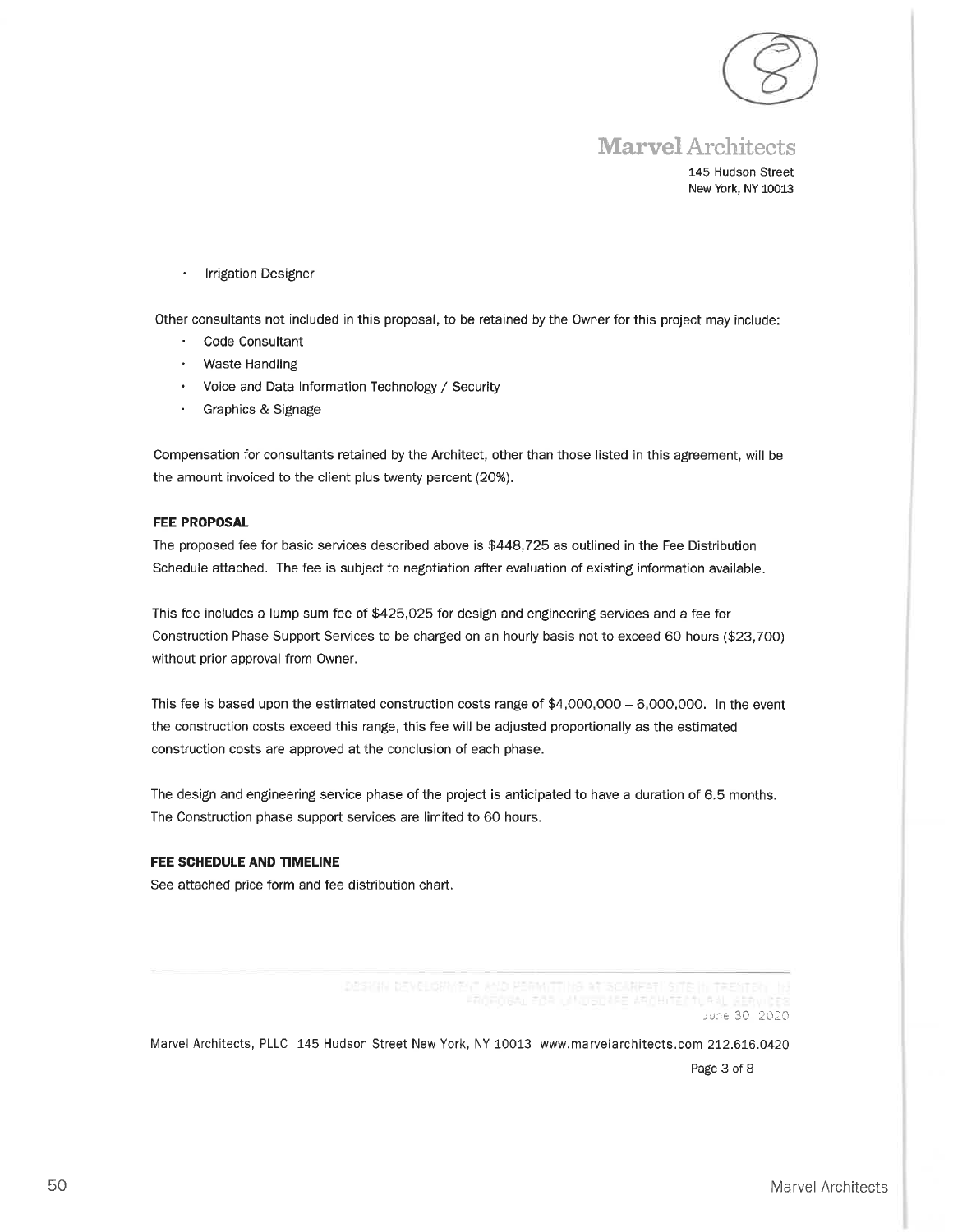

## **Marvel** Architects

145 Hudson Street New York, NY 10013

**Irrigation Designer** 

Other consultants not included in this proposal, to be retained by the Owner for this project may include:

- $\mathbf{r}$ Code Consultant
- **Waste Handling**  $\bullet$
- Voice and Data Information Technology / Security
- Graphics & Signage

Compensation for consultants retained by the Architect, other than those listed in this agreement, will be the amount invoiced to the client plus twenty percent (20%).

#### **FEE PROPOSAL**

The proposed fee for basic services described above is \$448,725 as outlined in the Fee Distribution Schedule attached. The fee is subject to negotiation after evaluation of existing information available.

This fee includes a lump sum fee of \$425,025 for design and engineering services and a fee for Construction Phase Support Services to be charged on an hourly basis not to exceed 60 hours (\$23,700) without prior approval from Owner.

This fee is based upon the estimated construction costs range of  $$4,000,000 - 6,000,000$ . In the event the construction costs exceed this range, this fee will be adjusted proportionally as the estimated construction costs are approved at the conclusion of each phase.

The design and engineering service phase of the project is anticipated to have a duration of 6.5 months. The Construction phase support services are limited to 60 hours.

#### FEE SCHEDULE AND TIMELINE

See attached price form and fee distribution chart.

DESIGN (ENELORMENT MID PERMITTIME AT SCIRKEST! STE IN TRESTOR

June 30 2020

Marvel Architects, PLLC 145 Hudson Street New York, NY 10013 www.marvelarchitects.com 212.616.0420 Page 3 of 8